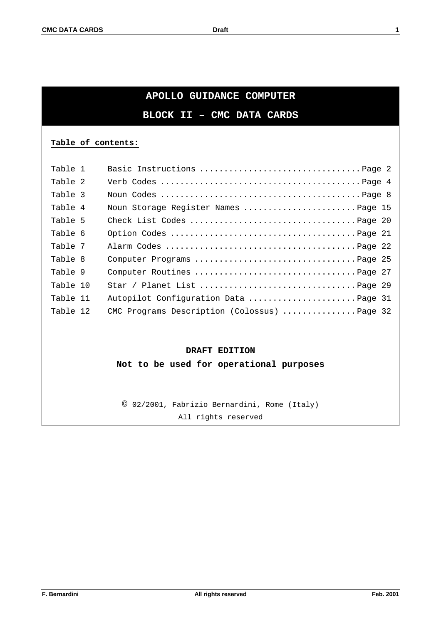# **APOLLO GUIDANCE COMPUTER**

**BLOCK II – CMC DATA CARDS**

# **Table of contents:**

| Table 1  |                                              |
|----------|----------------------------------------------|
| Table 2  |                                              |
| Table 3  |                                              |
| Table 4  | Noun Storage Register Names Page 15          |
| Table 5  |                                              |
| Table 6  |                                              |
| Table 7  |                                              |
| Table 8  |                                              |
| Table 9  |                                              |
| Table 10 |                                              |
| Table 11 | Autopilot Configuration Data Page 31         |
| Table 12 | CMC Programs Description (Colossus)  Page 32 |

# **DRAFT EDITION**

**Not to be used for operational purposes**

© 02/2001, Fabrizio Bernardini, Rome (Italy) All rights reserved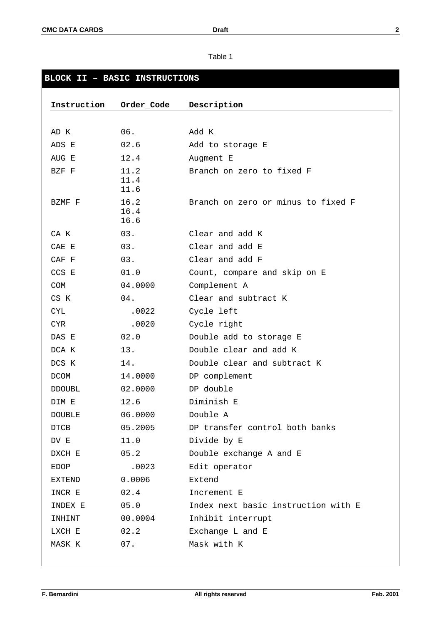| BLOCK II - BASIC INSTRUCTIONS |                      |                                     |  |  |
|-------------------------------|----------------------|-------------------------------------|--|--|
|                               |                      |                                     |  |  |
| Instruction                   | Order_Code           | Description                         |  |  |
|                               |                      |                                     |  |  |
| AD K                          | 06.                  | Add K                               |  |  |
| ADS E                         | 02.6                 | Add to storage E                    |  |  |
| AUG E                         | 12.4                 | Augment E                           |  |  |
| BZF F                         | 11.2<br>11.4<br>11.6 | Branch on zero to fixed F           |  |  |
| BZMF F                        | 16.2<br>16.4<br>16.6 | Branch on zero or minus to fixed F  |  |  |
| CA K                          | 03.                  | Clear and add K                     |  |  |
| CAE E                         | 03.                  | Clear and add E                     |  |  |
| CAF F                         | 03.                  | Clear and add F                     |  |  |
| CCS E                         | 01.0                 | Count, compare and skip on E        |  |  |
| <b>COM</b>                    | 04.0000              | Complement A                        |  |  |
| CS K                          | 04.                  | Clear and subtract K                |  |  |
| <b>CYL</b>                    | .0022                | Cycle left                          |  |  |
| <b>CYR</b>                    | .0020                | Cycle right                         |  |  |
| DAS E                         | 02.0                 | Double add to storage E             |  |  |
| DCA K                         | 13.                  | Double clear and add K              |  |  |
| DCS K                         | 14.                  | Double clear and subtract K         |  |  |
| <b>DCOM</b>                   | 14.0000              | DP complement                       |  |  |
| <b>DDOUBL</b>                 | 02.0000              | DP double                           |  |  |
| DIM E                         | 12.6                 | Diminish E                          |  |  |
| DOUBLE                        | 06.0000              | Double A                            |  |  |
| DTCB                          | 05.2005              | DP transfer control both banks      |  |  |
| DV E                          | 11.0                 | Divide by E                         |  |  |
| DXCH E                        | 05.2                 | Double exchange A and E             |  |  |
| <b>EDOP</b>                   | .0023                | Edit operator                       |  |  |
| EXTEND                        | 0.0006               | Extend                              |  |  |
| INCR E                        | 02.4                 | Increment E                         |  |  |
| INDEX E                       | 05.0                 | Index next basic instruction with E |  |  |
| INHINT                        | 00.0004              | Inhibit interrupt                   |  |  |
| LXCH E                        | 02.2                 | Exchange L and E                    |  |  |
| MASK K                        | 07.                  | Mask with K                         |  |  |
|                               |                      |                                     |  |  |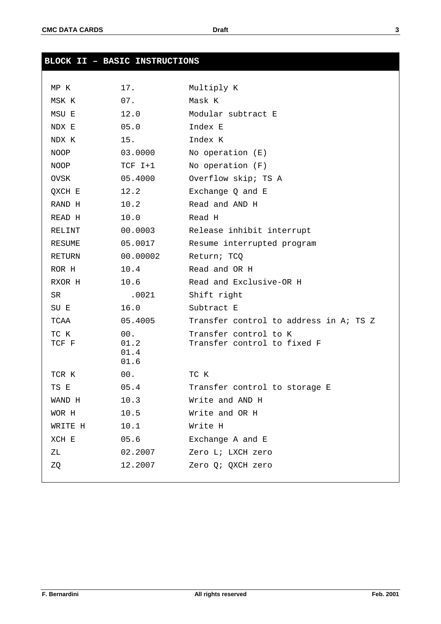| <b>BLOCK II - BASIC INSTRUCTIONS</b> |              |                                                      |
|--------------------------------------|--------------|------------------------------------------------------|
|                                      |              |                                                      |
| MP K                                 | 17.          | Multiply K                                           |
| MSK K                                | 07.          | Mask K                                               |
| MSU E                                | 12.0         | Modular subtract E                                   |
| NDX E                                | 05.0         | Index E                                              |
| NDX K                                | 15.          | Index K                                              |
| NOOP                                 | 03.0000      | No operation $(E)$                                   |
| <b>NOOP</b>                          | $TCF I+1$    | No operation $(F)$                                   |
| OVSK                                 | 05.4000      | Overflow skip; TS A                                  |
| QXCH E                               | 12.2         | Exchange Q and E                                     |
| RAND H                               | 10.2         | Read and AND H                                       |
| READ H                               | 10.0         | Read H                                               |
| RELINT                               | 00.0003      | Release inhibit interrupt                            |
| RESUME                               | 05.0017      | Resume interrupted program                           |
| RETURN                               | 00.00002     | Return; TCO                                          |
| ROR H                                | 10.4         | Read and OR H                                        |
| RXOR H                               | 10.6         | Read and Exclusive-OR H                              |
| SR.                                  | .0021        | Shift right                                          |
| SU E                                 | 16.0         | Subtract E                                           |
| TCAA                                 | 05.4005      | Transfer control to address in A; TS Z               |
| TC K<br>TCF F                        | 00.<br>01.2  | Transfer control to K<br>Transfer control to fixed F |
|                                      | 01.4<br>01.6 |                                                      |
| TCR K                                | 00.          | TC K                                                 |
| TS E                                 | 05.4         | Transfer control to storage E                        |
| WAND H                               | 10.3         | Write and AND H                                      |
| WOR H                                | 10.5         | Write and OR H                                       |
| WRITE H                              | 10.1         | Write H                                              |
| XCH E                                | 05.6         | Exchange A and E                                     |
| ΖL                                   | 02.2007      | Zero L; LXCH zero                                    |
| ZQ                                   | 12.2007      | Zero Q; QXCH zero                                    |
|                                      |              |                                                      |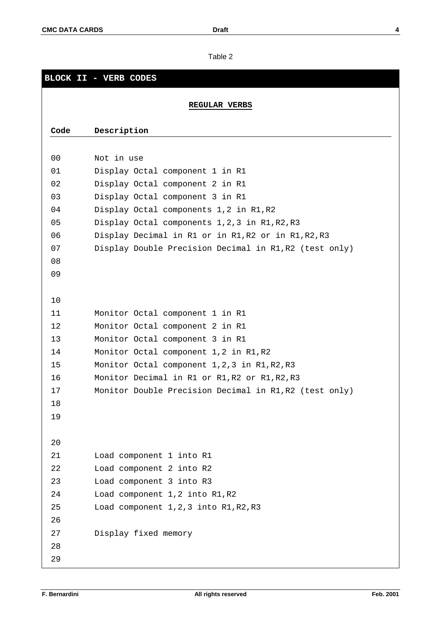# **BLOCK II - VERB CODES REGULAR VERBS Code Description** Not in use Display Octal component 1 in R1 Display Octal component 2 in R1 Display Octal component 3 in R1 Display Octal components 1,2 in R1,R2 Display Octal components 1,2,3 in R1,R2,R3 Display Decimal in R1 or in R1,R2 or in R1,R2,R3 Display Double Precision Decimal in R1,R2 (test only) Monitor Octal component 1 in R1 Monitor Octal component 2 in R1 Monitor Octal component 3 in R1 Monitor Octal component 1,2 in R1,R2 Monitor Octal component 1,2,3 in R1,R2,R3 Monitor Decimal in R1 or R1,R2 or R1,R2,R3 Monitor Double Precision Decimal in R1,R2 (test only) Load component 1 into R1 Load component 2 into R2 Load component 3 into R3 Load component 1,2 into R1,R2 Load component 1,2,3 into R1,R2,R3 Display fixed memory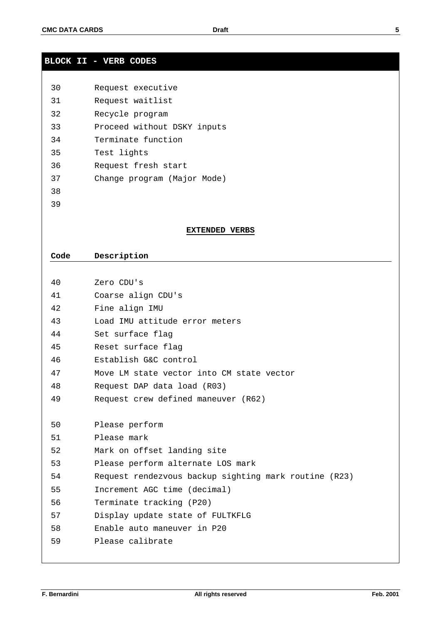# **BLOCK II - VERB CODES**

| 30 | Request executive           |
|----|-----------------------------|
| 31 | Request waitlist            |
| 32 | Recycle program             |
| 33 | Proceed without DSKY inputs |
| 34 | Terminate function          |
| 35 | Test lights                 |
| 36 | Request fresh start         |
| 37 | Change program (Major Mode) |
| 38 |                             |
| 39 |                             |

## **EXTENDED VERBS**

# **Code Description**

| 40 | Zero CDU's                                            |
|----|-------------------------------------------------------|
| 41 | Coarse align CDU's                                    |
| 42 | Fine align IMU                                        |
| 43 | Load IMU attitude error meters                        |
| 44 | Set surface flag                                      |
| 45 | Reset surface flag                                    |
| 46 | Establish G&C control                                 |
| 47 | Move LM state vector into CM state vector             |
| 48 | Request DAP data load (R03)                           |
| 49 | Request crew defined maneuver (R62)                   |
|    |                                                       |
| 50 | Please perform                                        |
| 51 | Please mark                                           |
| 52 | Mark on offset landing site                           |
| 53 | Please perform alternate LOS mark                     |
| 54 | Request rendezvous backup sighting mark routine (R23) |
| 55 | Increment AGC time (decimal)                          |
| 56 | Terminate tracking (P20)                              |
| 57 | Display update state of FULTKFLG                      |
| 58 | Enable auto maneuver in P20                           |
| 59 | Please calibrate                                      |
|    |                                                       |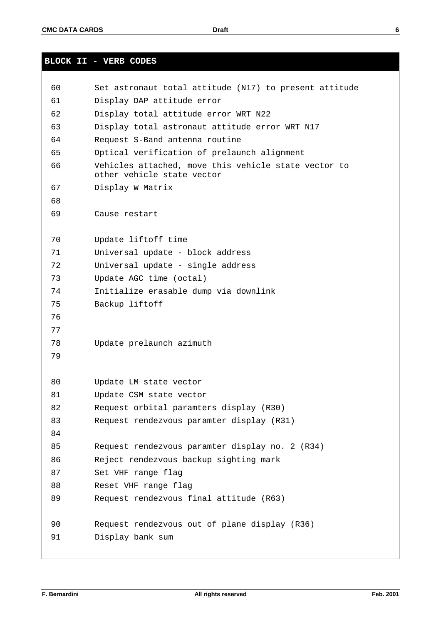**BLOCK II - VERB CODES**

```
60 Set astronaut total attitude (N17) to present attitude
61 Display DAP attitude error
62 Display total attitude error WRT N22
63 Display total astronaut attitude error WRT N17
64 Request S-Band antenna routine
65 Optical verification of prelaunch alignment
66 Vehicles attached, move this vehicle state vector to
       other vehicle state vector
67 Display W Matrix
68
69 Cause restart
70 Update liftoff time
71 Universal update - block address
72 Universal update - single address
73 Update AGC time (octal)
74 Initialize erasable dump via downlink
75 Backup liftoff
76
77
78 Update prelaunch azimuth
79
80 Update LM state vector
81 Update CSM state vector
82 Request orbital paramters display (R30)
83 Request rendezvous paramter display (R31)
84
85 Request rendezvous paramter display no. 2 (R34)
86 Reject rendezvous backup sighting mark
87 Set VHF range flag
88 Reset VHF range flag
89 Request rendezvous final attitude (R63)
90 Request rendezvous out of plane display (R36)
91 Display bank sum
```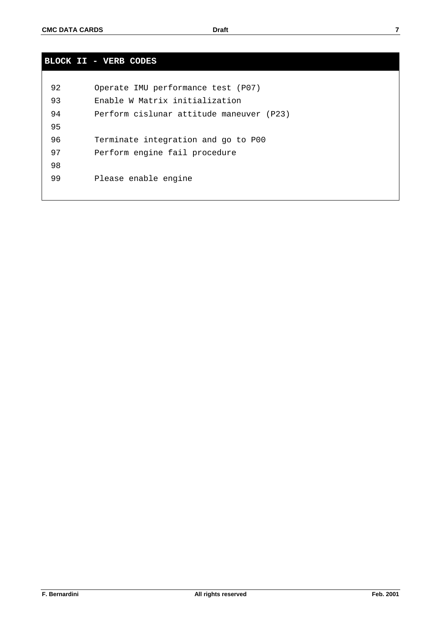| I<br>I |  |
|--------|--|
|        |  |
|        |  |

# **BLOCK II - VERB CODES**

| 92 | Operate IMU performance test (P07)       |
|----|------------------------------------------|
| 93 | Enable W Matrix initialization           |
| 94 | Perform cislunar attitude maneuver (P23) |
| 95 |                                          |
| 96 | Terminate integration and go to P00      |
| 97 | Perform engine fail procedure            |
| 98 |                                          |
| 99 | Please enable engine                     |
|    |                                          |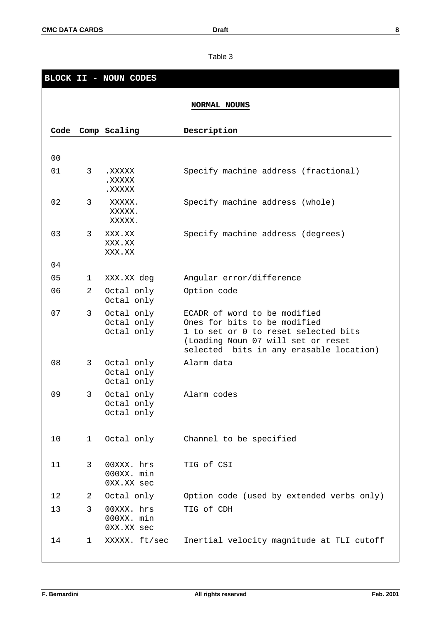|                |                | BLOCK II - NOUN CODES                  |                                                                                                                                                                                       |
|----------------|----------------|----------------------------------------|---------------------------------------------------------------------------------------------------------------------------------------------------------------------------------------|
|                |                |                                        | NORMAL NOUNS                                                                                                                                                                          |
|                |                |                                        |                                                                                                                                                                                       |
| Code           |                | Comp Scaling                           | Description                                                                                                                                                                           |
|                |                |                                        |                                                                                                                                                                                       |
| 0 <sub>0</sub> |                |                                        |                                                                                                                                                                                       |
| 01             | 3              | XXXXX.<br>XXXXX.<br>XXXXX.             | Specify machine address (fractional)                                                                                                                                                  |
| 02             | 3              | XXXXX.<br>XXXXX.<br>XXXXX.             | Specify machine address (whole)                                                                                                                                                       |
| 03             | 3              | XXX.XX<br>XXX.XX<br>XXX.XX             | Specify machine address (degrees)                                                                                                                                                     |
| 04             |                |                                        |                                                                                                                                                                                       |
| 05             | 1              | XXX.XX deg                             | Angular error/difference                                                                                                                                                              |
| 06             | $\overline{a}$ | Octal only<br>Octal only               | Option code                                                                                                                                                                           |
| 07             | 3              | Octal only<br>Octal only<br>Octal only | ECADR of word to be modified<br>Ones for bits to be modified<br>1 to set or 0 to reset selected bits<br>(Loading Noun 07 will set or reset<br>selected bits in any erasable location) |
| 08             | 3              | Octal only<br>Octal only<br>Octal only | Alarm data                                                                                                                                                                            |
| 09             | 3              | Octal only<br>Octal only<br>Octal only | Alarm codes                                                                                                                                                                           |
| 10             | ı              | Octal only                             | Channel to be specified                                                                                                                                                               |
| 11             | 3              | 00XXX. hrs<br>000XX. min<br>0XX.XX sec | TIG of CSI                                                                                                                                                                            |
| 12             | 2              | Octal only                             | Option code (used by extended verbs only)                                                                                                                                             |
| 13             | 3              | 00XXX. hrs<br>000XX. min<br>0XX.XX sec | TIG of CDH                                                                                                                                                                            |
| 14             | 1              | XXXXX. ft/sec                          | Inertial velocity magnitude at TLI cutoff                                                                                                                                             |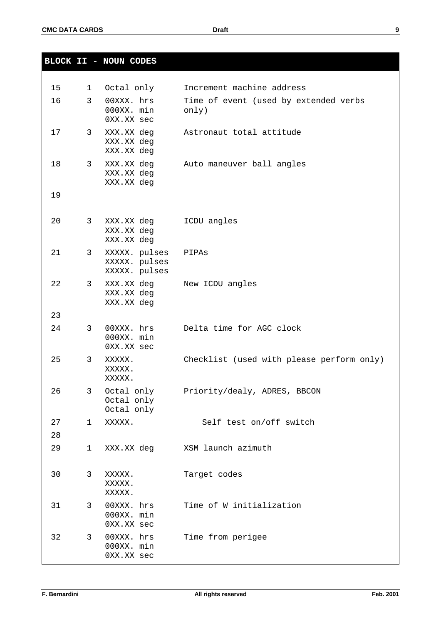|   | ٧ |        |  |
|---|---|--------|--|
| × |   |        |  |
|   |   | I<br>ł |  |

|                 |              | <b>BLOCK II - NOUN CODES</b>                    |                                                |
|-----------------|--------------|-------------------------------------------------|------------------------------------------------|
| 15 <sub>1</sub> | $\mathbf{1}$ | Octal only                                      | Increment machine address                      |
| 16              | 3            | 00XXX. hrs<br>000XX. min<br>0XX.XX sec          | Time of event (used by extended verbs<br>only) |
| 17 <sub>2</sub> | $\mathbf{3}$ | XXX.XX deg<br>XXX.XX deg<br>XXX.XX deg          | Astronaut total attitude                       |
| 18              | 3            | XXX.XX deg<br>XXX.XX deg<br>XXX.XX deg          | Auto maneuver ball angles                      |
| 19              |              |                                                 |                                                |
| 20              | 3            | XXX.XX deg<br>XXX.XX deg<br>XXX.XX deg          | ICDU angles                                    |
| 21              | 3            | XXXXX. pulses<br>XXXXX. pulses<br>XXXXX. pulses | PIPAS                                          |
| 22              | 3            | XXX.XX deg<br>XXX.XX deg<br>XXX.XX deg          | New ICDU angles                                |
| 23              |              |                                                 |                                                |
| 24              | 3            | 00XXX. hrs<br>000XX. min<br>0XX.XX sec          | Delta time for AGC clock                       |
| 25              | 3            | XXXXX.<br>XXXXX.<br>XXXXX.                      | Checklist (used with please perform only)      |
| 26              | 3            | Octal only<br>Octal only<br>Octal only          | Priority/dealy, ADRES, BBCON                   |
| 27              | 1            | XXXXX.                                          | Self test on/off switch                        |
| 28              |              |                                                 |                                                |
| 29              | $\mathbf 1$  | XXX.XX deg                                      | XSM launch azimuth                             |
| 30              | 3            | XXXXX.<br>XXXXX.<br>XXXXX.                      | Target codes                                   |
| 31              | 3            | 00XXX. hrs<br>000XX. min<br>0XX.XX sec          | Time of W initialization                       |
| 32              | 3            | 00XXX. hrs<br>000XX. min<br>0XX.XX sec          | Time from perigee                              |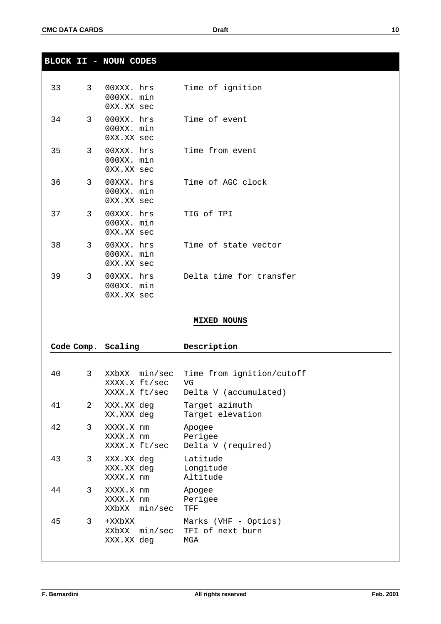**BLOCK II - NOUN CODES**

| 33 | $\mathcal{E}$  | $000XX$ . min<br>0XX.XX sec                 | $00XXX$ . $hrs$ | Time of ignition            |
|----|----------------|---------------------------------------------|-----------------|-----------------------------|
| 34 | $\mathcal{R}$  | 000XX. min<br>0XX.XX sec                    |                 | 000XX. hrs Time of event    |
| 35 | $\mathcal{R}$  | $000XX$ . min<br>0XX.XX sec                 |                 | 00XXX. hrs  Time from event |
| 36 | $\mathcal{R}$  | 00XXX. hrs<br>$000XX$ . $min$<br>0XX.XX sec |                 | Time of AGC clock           |
| 37 | $\mathcal{E}$  | 00XXX. hrs<br>000XX. min<br>0XX.XX sec      |                 | TIG of TPI                  |
| 38 | $\overline{3}$ | 00XXX. hrs<br>$000XX$ . min<br>0XX.XX sec   |                 | Time of state vector        |
| 39 | $\mathcal{R}$  | 00XXX. hrs<br>000XX. min<br>0XX.XX sec      |                 | Delta time for transfer     |

# **MIXED NOUNS**

|    |               | Code Comp. Scaling                      | Description                                                      |
|----|---------------|-----------------------------------------|------------------------------------------------------------------|
|    |               |                                         |                                                                  |
| 40 | $\mathcal{E}$ | XXbXX min/sec<br>XXXX.X ft/sec VG       | Time from ignition/cutoff<br>XXXX.X ft/sec Delta V (accumulated) |
| 41 | 2             | XXX.XX deg<br>XX.XXX deg                | Target azimuth<br>Target elevation                               |
| 42 | 3             | XXXX.X nm<br>XXXX.X nm<br>XXXX.X ft/sec | Apogee<br>Perigee<br>Delta V (required)                          |
| 43 | $\mathbf{3}$  | XXX.XX deg<br>XXX.XX deg<br>XXXX.X nm   | Latitude<br>Longitude<br>Altitude                                |
| 44 | 3             | XXXX.X nm<br>XXXX.X nm<br>XXbXX min/sec | Apogee<br>Perigee<br>TFF                                         |
| 45 | $\mathbf{3}$  | xxbxx+<br>XXbXX min/sec<br>XXX.XX deg   | Marks (VHF - Optics)<br>TFI of next burn<br>MGA                  |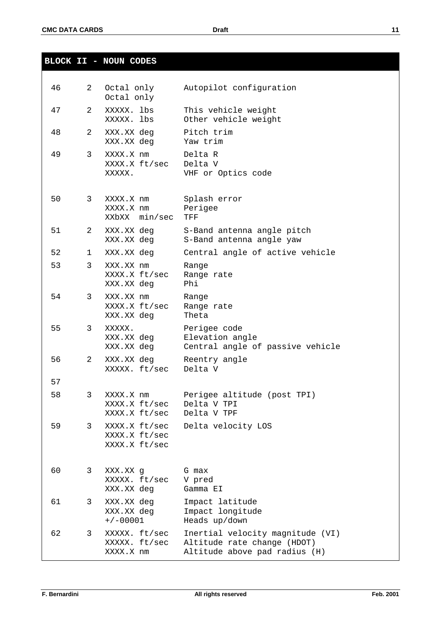|    |              | <b>BLOCK II - NOUN CODES</b>                    |                                                                                                  |
|----|--------------|-------------------------------------------------|--------------------------------------------------------------------------------------------------|
|    |              |                                                 |                                                                                                  |
| 46 | $\mathbf{2}$ | Octal only<br>Octal only                        | Autopilot configuration                                                                          |
| 47 | 2.           | XXXXX. lbs<br>XXXXX. lbs                        | This vehicle weight<br>Other vehicle weight                                                      |
| 48 | 2            | XXX.XX deg<br>XXX.XX deg                        | Pitch trim<br>Yaw trim                                                                           |
| 49 | 3            | XXXX.X nm<br>XXXX.X ft/sec<br>XXXXX.            | Delta R<br>Delta V<br>VHF or Optics code                                                         |
| 50 | $\mathbf{3}$ | XXXX.X nm<br>XXXX.X nm<br>XXbXX min/sec         | Splash error<br>Perigee<br>TFF                                                                   |
| 51 | $2^{\circ}$  | XXX.XX deg<br>XXX.XX deg                        | S-Band antenna angle pitch<br>S-Band antenna angle yaw                                           |
| 52 | $1 \quad$    | XXX.XX deg                                      | Central angle of active vehicle                                                                  |
| 53 | 3            | XXX.XX nm<br>XXXX.X ft/sec<br>XXX.XX deg        | Range<br>Range rate<br>Phi                                                                       |
| 54 | 3            | XXX.XX nm<br>XXXX.X ft/sec<br>XXX.XX deg        | Range<br>Range rate<br>Theta                                                                     |
| 55 | 3            | XXXXX.<br>XXX.XX deg<br>XXX.XX deg              | Perigee code<br>Elevation angle<br>Central angle of passive vehicle                              |
| 56 | $\mathbf{2}$ | XXX.XX deg<br>XXXXX. ft/sec                     | Reentry angle<br>Delta V                                                                         |
| 57 |              |                                                 |                                                                                                  |
| 58 | 3            | XXXX.X nm<br>XXXX.X ft/sec<br>XXXX.X ft/sec     | Perigee altitude (post TPI)<br>Delta V TPI<br>Delta V TPF                                        |
| 59 | 3            | XXXX.X ft/sec<br>XXXX.X ft/sec<br>XXXX.X ft/sec | Delta velocity LOS                                                                               |
| 60 | 3            | XXX.XX g<br>XXXXX. ft/sec<br>XXX.XX deg         | G max<br>V pred<br>Gamma EI                                                                      |
| 61 | 3            | XXX.XX deg<br>XXX.XX deg<br>$+/-00001$          | Impact latitude<br>Impact longitude<br>Heads up/down                                             |
| 62 | 3            | XXXXX. ft/sec<br>XXXXX. ft/sec<br>XXXX.X nm     | Inertial velocity magnitude (VI)<br>Altitude rate change (HDOT)<br>Altitude above pad radius (H) |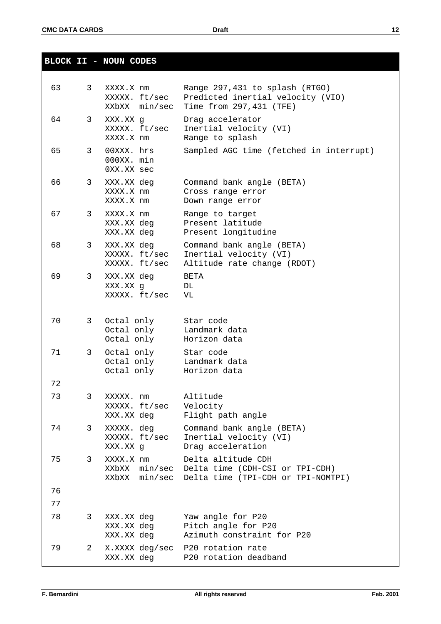**BLOCK II - NOUN CODES**

| 63 | 3 | XXXX.X nm<br>XXXXX. ft/sec<br>XXbXX min/sec  | Range 297,431 to splash (RTGO)<br>Predicted inertial velocity (VIO)<br>Time from 297, 431 (TFE) |
|----|---|----------------------------------------------|-------------------------------------------------------------------------------------------------|
| 64 | 3 | XXX.XX g<br>XXXXX. ft/sec<br>XXXX.X nm       | Drag accelerator<br>Inertial velocity (VI)<br>Range to splash                                   |
| 65 | 3 | 00XXX. hrs<br>000XX. min<br>0XX.XX sec       | Sampled AGC time (fetched in interrupt)                                                         |
| 66 | 3 | XXX.XX deg<br>XXXX.X nm<br>XXXX.X nm         | Command bank angle (BETA)<br>Cross range error<br>Down range error                              |
| 67 | 3 | XXXX.X nm<br>XXX.XX deg<br>XXX.XX deg        | Range to target<br>Present latitude<br>Present longitudine                                      |
| 68 | 3 | XXX.XX deg<br>XXXXX. ft/sec<br>XXXXX. ft/sec | Command bank angle (BETA)<br>Inertial velocity (VI)<br>Altitude rate change (RDOT)              |
| 69 | 3 | XXX.XX deg<br>XXX.XX g<br>XXXXX. ft/sec      | <b>BETA</b><br>DL<br>VL                                                                         |
| 70 | 3 | Octal only<br>Octal only<br>Octal only       | Star code<br>Landmark data<br>Horizon data                                                      |
| 71 | 3 | Octal only<br>Octal only<br>Octal only       | Star code<br>Landmark data<br>Horizon data                                                      |
| 72 |   |                                              |                                                                                                 |
| 73 | 3 | XXXXX. nm<br>XXXXX. ft/sec<br>XXX.XX deg     | Altitude<br>Velocity<br>Flight path angle                                                       |
| 74 | 3 | XXXXX. deg<br>XXXXX. ft/sec<br>XXX.XX g      | Command bank angle (BETA)<br>Inertial velocity (VI)<br>Drag acceleration                        |
| 75 | 3 | XXXX.X nm<br>XXbXX min/sec<br>XXbXX min/sec  | Delta altitude CDH<br>Delta time (CDH-CSI or TPI-CDH)<br>Delta time (TPI-CDH or TPI-NOMTPI)     |
| 76 |   |                                              |                                                                                                 |
| 77 |   |                                              |                                                                                                 |
| 78 | 3 | XXX.XX deg<br>XXX.XX deg<br>XXX.XX deg       | Yaw angle for P20<br>Pitch angle for P20<br>Azimuth constraint for P20                          |
| 79 | 2 | X.XXXX deg/sec<br>XXX.XX deg                 | P20 rotation rate<br>P20 rotation deadband                                                      |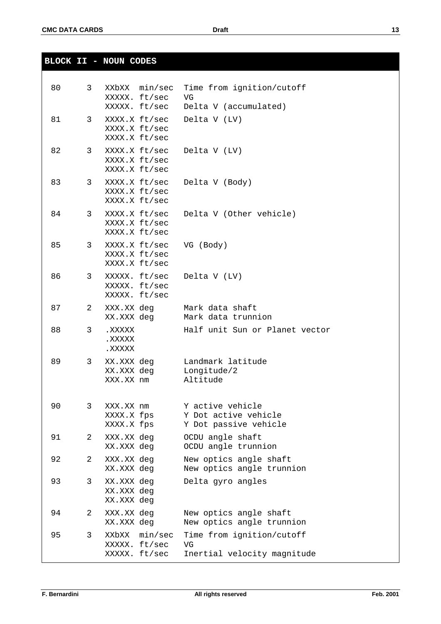**BLOCK II - NOUN CODES**

| 80 | 3 <sup>7</sup> | XXbXX min/sec<br>XXXXX. ft/sec<br>XXXXX. ft/sec | Time from ignition/cutoff<br>VG<br>Delta V (accumulated)          |
|----|----------------|-------------------------------------------------|-------------------------------------------------------------------|
| 81 | 3 <sup>7</sup> | XXXX.X ft/sec<br>XXXX.X ft/sec<br>XXXX.X ft/sec | Delta V (LV)                                                      |
| 82 | 3 <sup>7</sup> | XXXX.X ft/sec<br>XXXX.X ft/sec<br>XXXX.X ft/sec | Delta V (LV)                                                      |
| 83 | 3 <sup>7</sup> | XXXX.X ft/sec<br>XXXX.X ft/sec<br>XXXX.X ft/sec | Delta V (Body)                                                    |
| 84 | 3              | XXXX.X ft/sec<br>XXXX.X ft/sec<br>XXXX.X ft/sec | Delta V (Other vehicle)                                           |
| 85 | 3              | XXXX.X ft/sec<br>XXXX.X ft/sec<br>XXXX.X ft/sec | VG (Body)                                                         |
| 86 | 3 <sup>7</sup> | XXXXX. ft/sec<br>XXXXX. ft/sec<br>XXXXX. ft/sec | Delta V (LV)                                                      |
| 87 | 2              | XXX.XX deg<br>XX.XXX deg                        | Mark data shaft<br>Mark data trunnion                             |
| 88 | 3              | . XXXXX<br>XXXXX.<br>XXXXX.                     | Half unit Sun or Planet vector                                    |
| 89 | 3              | XX.XXX deg<br>XX.XXX deg<br>XXX.XX nm           | Landmark latitude<br>Longitude/2<br>Altitude                      |
| 90 | 3              | XXX.XX nm<br>XXXX.X fps<br>XXXX.X fps           | Y active vehicle<br>Y Dot active vehicle<br>Y Dot passive vehicle |
| 91 | 2              | XXX.XX deg<br>XX.XXX deg                        | OCDU angle shaft<br>OCDU angle trunnion                           |
| 92 | 2              | XXX.XX deg<br>XX.XXX deg                        | New optics angle shaft<br>New optics angle trunnion               |
| 93 | 3              | XX.XXX deg<br>XX.XXX deg<br>XX.XXX deg          | Delta gyro angles                                                 |
| 94 | 2              | XXX.XX deg<br>XX.XXX deg                        | New optics angle shaft<br>New optics angle trunnion               |
| 95 | 3              | XXbXX min/sec<br>XXXXX. ft/sec<br>XXXXX. ft/sec | Time from ignition/cutoff<br>VG<br>Inertial velocity magnitude    |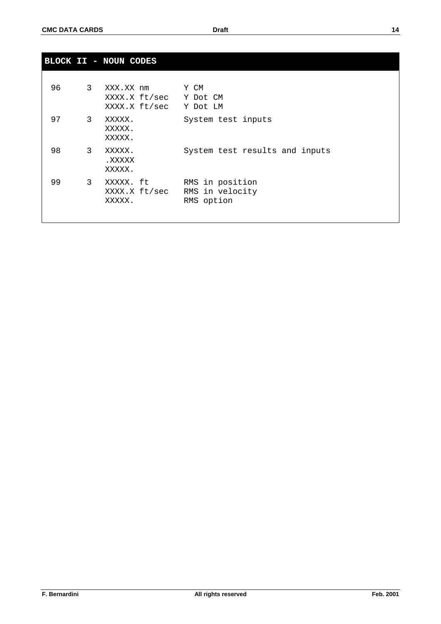|    |                | BLOCK II - NOUN CODES                       |                                                  |
|----|----------------|---------------------------------------------|--------------------------------------------------|
| 96 | 3 <sup>7</sup> | XXX.XX nm<br>XXXX.X ft/sec<br>XXXX.X ft/sec | Y CM<br>Y Dot CM<br>Y Dot LM                     |
| 97 | $\mathbf{3}$   | XXXXX.<br>XXXXX.<br>XXXXX.                  | System test inputs                               |
| 98 | $\mathbf{3}$   | XXXXX.<br>. XXXXX<br>XXXXX.                 | System test results and inputs                   |
| 99 | 3 <sup>7</sup> | XXXXX. ft<br>XXXX.X ft/sec<br>XXXXX.        | RMS in position<br>RMS in velocity<br>RMS option |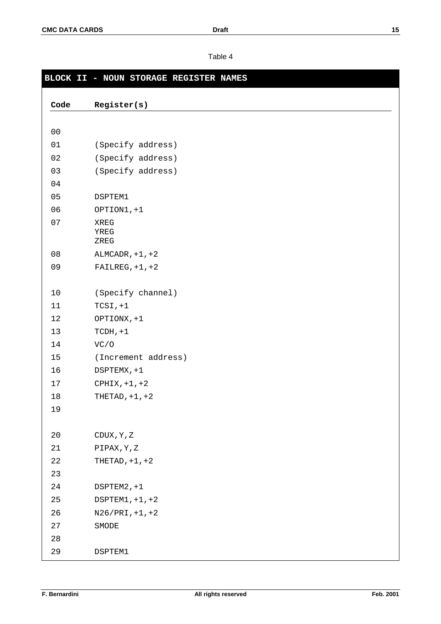# **BLOCK II - NOUN STORAGE REGISTER NAMES Code Register(s)** 01 (Specify address) (Specify address) (Specify address) DSPTEM1 OPTION1,+1 XREG YREG ZREG ALMCADR,+1,+2 FAILREG,+1,+2 (Specify channel) TCSI,+1 OPTIONX,+1 TCDH,+1 VC/O (Increment address) DSPTEMX,+1 CPHIX,+1,+2 THETAD,+1,+2 CDUX,Y,Z PIPAX,Y,Z THETAD,+1,+2 DSPTEM2,+1 DSPTEM1,+1,+2 N26/PRI,+1,+2 SMODE DSPTEM1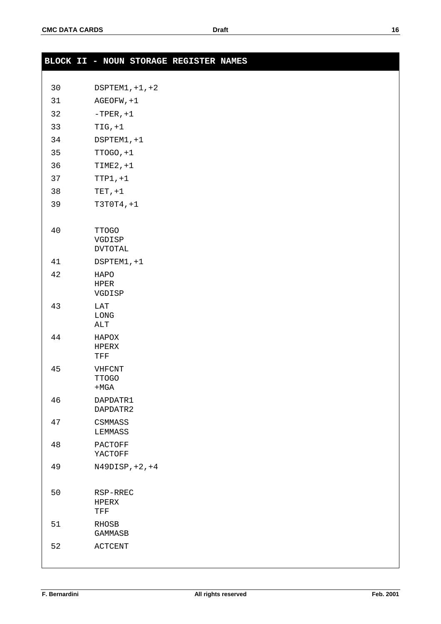|    | BLOCK II - NOUN STORAGE REGISTER NAMES    |  |  |  |
|----|-------------------------------------------|--|--|--|
| 30 | $DSPTEM1, +1, +2$                         |  |  |  |
| 31 | AGEOFW, +1                                |  |  |  |
| 32 | $-$ TPER, $+1$                            |  |  |  |
|    |                                           |  |  |  |
| 33 | $TIG, +1$                                 |  |  |  |
| 34 | DSPTEM1, +1                               |  |  |  |
| 35 | $TTOGO, +1$                               |  |  |  |
| 36 | $TIME2, +1$                               |  |  |  |
| 37 | $TTP1, +1$                                |  |  |  |
| 38 | $TET, +1$                                 |  |  |  |
| 39 | $T3T0T4, +1$                              |  |  |  |
| 40 | <b>TTOGO</b><br>VGDISP<br><b>DVTOTAL</b>  |  |  |  |
| 41 | DSPTEM1, +1                               |  |  |  |
| 42 | HAPO<br>HPER<br>VGDISP                    |  |  |  |
| 43 | $_{\rm LAT}$<br>LONG<br>ALT               |  |  |  |
| 44 | HAPOX<br>HPERX<br>TFF                     |  |  |  |
| 45 | VHFCNT<br><b>TTOGO</b><br>$+MGA$          |  |  |  |
| 46 | DAPDATR1<br>DAPDATR2                      |  |  |  |
| 47 | CSMMASS<br>LEMMASS                        |  |  |  |
| 48 | PACTOFF<br>YACTOFF                        |  |  |  |
| 49 | $N49DISP, +2, +4$                         |  |  |  |
| 50 | RSP-RREC<br>HPERX<br>$\operatorname{TFF}$ |  |  |  |
| 51 | RHOSB<br>GAMMASB                          |  |  |  |
| 52 | ACTCENT                                   |  |  |  |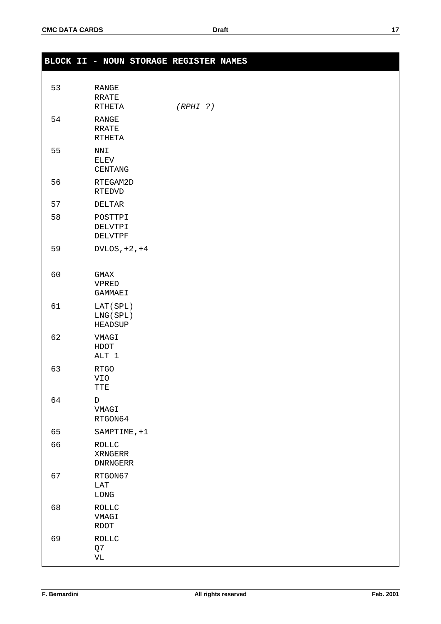|    | BLOCK II - NOUN STORAGE REGISTER NAMES         |          |  |
|----|------------------------------------------------|----------|--|
| 53 | ${\tt RANGE}$<br><b>RRATE</b><br><b>RTHETA</b> | (RPHI ?) |  |
| 54 | ${\tt RANGE}$<br><b>RRATE</b><br><b>RTHETA</b> |          |  |
| 55 | $\texttt{NNI}$<br>ELEV<br>CENTANG              |          |  |
| 56 | RTEGAM2D<br><b>RTEDVD</b>                      |          |  |
| 57 | DELTAR                                         |          |  |
| 58 | POSTTPI<br>DELVTPI<br>DELVTPF                  |          |  |
| 59 | DVLOS, $+2$ , $+4$                             |          |  |
| 60 | GMAX<br>VPRED<br>GAMMAEI                       |          |  |
| 61 | LAT(SPL)<br>LNG (SPL)<br>HEADSUP               |          |  |
| 62 | VMAGI<br>${\tt HDOT}$<br>ALT 1                 |          |  |
| 63 | RTGO<br>VIO<br>TTE                             |          |  |
| 64 | $\mathbb D$<br>VMAGI<br>RTGON64                |          |  |
| 65 | SAMPTIME, +1                                   |          |  |
| 66 | $\texttt{ROLLC}$<br>XRNGERR<br><b>DNRNGERR</b> |          |  |
| 67 | RTGON67<br>$_{\rm LAT}$<br>${\rm LONG}$        |          |  |
| 68 | <b>ROLLC</b><br>VMAGI<br>$\text{RDOT}{}$       |          |  |
| 69 | <b>ROLLC</b><br>Q7<br>$\rm{VL}$                |          |  |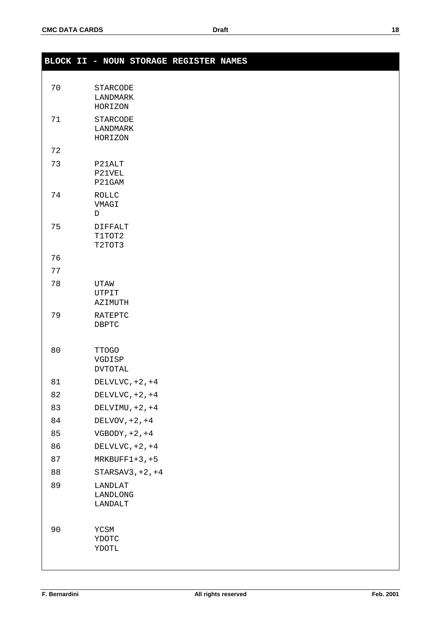|    | BLOCK II - NOUN STORAGE REGISTER NAMES   |  |
|----|------------------------------------------|--|
|    |                                          |  |
| 70 | STARCODE<br>LANDMARK<br>HORIZON          |  |
| 71 | STARCODE<br>LANDMARK<br>HORIZON          |  |
| 72 |                                          |  |
| 73 | P21ALT<br>P21VEL<br>P21GAM               |  |
| 74 | $\texttt{ROLLC}$<br>VMAGI<br>$\mathbb D$ |  |
| 75 | <b>DIFFALT</b><br>T1TOT2<br>T2TOT3       |  |
| 76 |                                          |  |
| 77 |                                          |  |
| 78 | UTAW<br>UTPIT<br>AZIMUTH                 |  |
| 79 | RATEPTC<br>DBPTC                         |  |
| 80 | <b>TTOGO</b><br>VGDISP<br><b>DVTOTAL</b> |  |
| 81 | DELVLVC, $+2, +4$                        |  |
| 82 | DELVLVC, $+2$ , $+4$                     |  |
| 83 | DELVIMU, $+2$ , $+4$                     |  |
| 84 | DELVOV, $+2$ , $+4$                      |  |
| 85 | VGBODY, $+2$ , $+4$                      |  |
| 86 | DELVLVC, $+2$ , $+4$                     |  |
| 87 | $MRKBUFF1+3, +5$                         |  |
| 88 | STARSAV3, $+2$ , $+4$                    |  |
| 89 | LANDLAT<br>LANDLONG<br>LANDALT           |  |
| 90 | YCSM<br>YDOTC<br>YDOTL                   |  |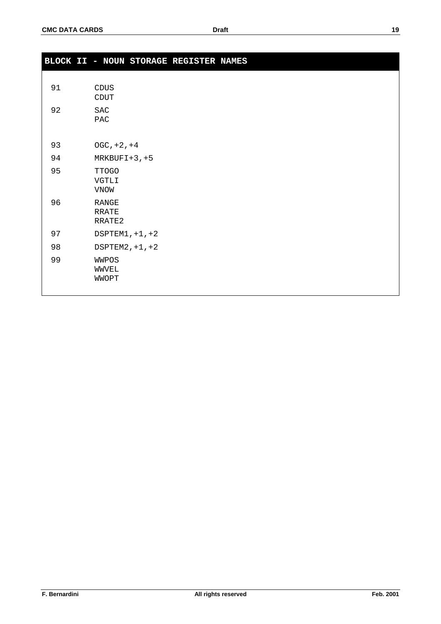|    | BLOCK II - NOUN STORAGE REGISTER NAMES |
|----|----------------------------------------|
|    |                                        |
| 91 | CDUS<br>$\texttt{CDUT}{}$              |
| 92 | $\operatorname{SAC}$<br>PAC            |
| 93 | $OGC, +2, +4$                          |
| 94 | $MRKBUFI+3, +5$                        |
| 95 | <b>TTOGO</b><br><b>VGTLI</b><br>VNOW   |
| 96 | <b>RANGE</b><br><b>RRATE</b><br>RRATE2 |
| 97 | DSPTEM1, $+1$ , $+2$                   |
| 98 | $DSPTEM2, +1, +2$                      |
| 99 | WWPOS<br>WWVEL<br>WWOPT                |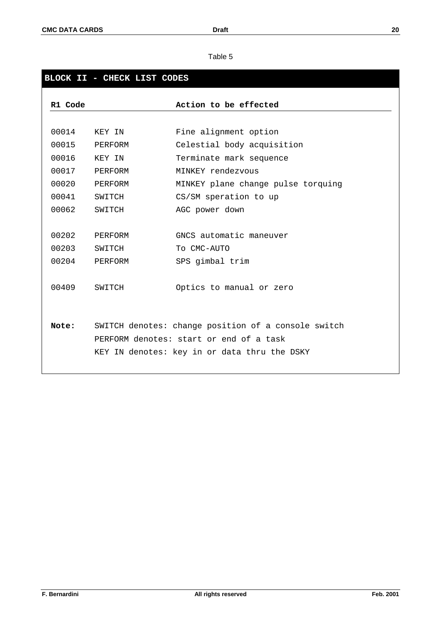# **BLOCK II - CHECK LIST CODES**

| R1 Code |         | Action to be effected                               |
|---------|---------|-----------------------------------------------------|
|         |         |                                                     |
| 00014   | KEY IN  | Fine alignment option                               |
| 00015   | PERFORM | Celestial body acquisition                          |
| 00016   | KEY IN  | Terminate mark sequence                             |
| 00017   | PERFORM | MINKEY rendezvous                                   |
| 00020   | PERFORM | MINKEY plane change pulse torquing                  |
| 00041   | SWITCH  | CS/SM speration to up                               |
| 00062   | SWITCH  | AGC power down                                      |
|         |         |                                                     |
| 00202   | PERFORM | GNCS automatic maneuver                             |
| 00203   | SWITCH  | To CMC-AUTO                                         |
| 00204   | PERFORM | SPS gimbal trim                                     |
|         |         |                                                     |
| 00409   | SWITCH  | Optics to manual or zero                            |
|         |         |                                                     |
|         |         |                                                     |
| Note:   |         | SWITCH denotes: change position of a console switch |
|         |         | PERFORM denotes: start or end of a task             |
|         |         | KEY IN denotes: key in or data thru the DSKY        |
|         |         |                                                     |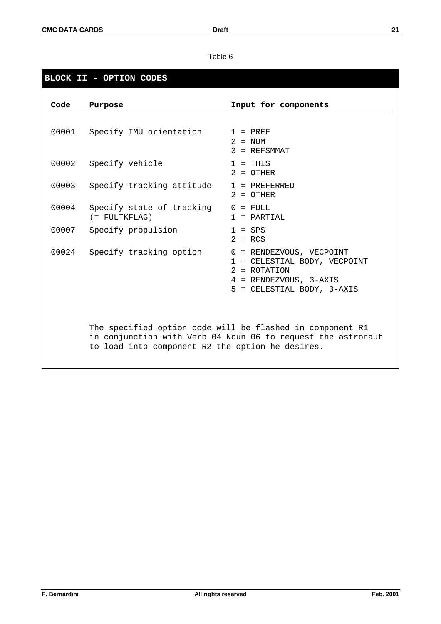# **BLOCK II - OPTION CODES**

| Code  | Purpose                                          | Input for components                                                                                                               |
|-------|--------------------------------------------------|------------------------------------------------------------------------------------------------------------------------------------|
|       | 00001 Specify IMU orientation                    | $1 = PREF$<br>$2 = NOM$<br>$3 = REFSMMAT$                                                                                          |
| 00002 | Specify vehicle                                  | $1 = THIS$<br>$2 = 0$ THER                                                                                                         |
| 00003 | Specify tracking attitude                        | $1 = PREFERRED$<br>$2 = 0$ THER                                                                                                    |
| 00004 | Specify state of tracking<br>$($ = FULTKFLAG)    | $0 =$ FULL<br>$1 = PARTIAL$                                                                                                        |
| 00007 | Specify propulsion                               | $1 =$ SPS<br>$2 = RCS$                                                                                                             |
| 00024 | Specify tracking option                          | 0 = RENDEZVOUS, VECPOINT<br>1 = CELESTIAL BODY, VECPOINT<br>$2 = ROTATION$<br>4 = RENDEZVOUS, 3-AXIS<br>5 = CELESTIAL BODY, 3-AXIS |
|       | to load into component R2 the option he desires. | The specified option code will be flashed in component R1<br>in conjunction with Verb 04 Noun 06 to request the astronaut          |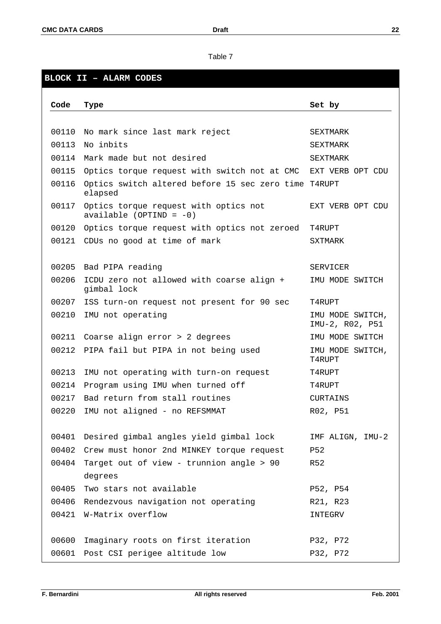# **BLOCK II – ALARM CODES**

| Code  | Type                                                                | Set by                              |
|-------|---------------------------------------------------------------------|-------------------------------------|
|       |                                                                     |                                     |
| 00110 | No mark since last mark reject                                      | <b>SEXTMARK</b>                     |
| 00113 | No inbits                                                           | SEXTMARK                            |
|       | 00114 Mark made but not desired                                     | <b>SEXTMARK</b>                     |
| 00115 | Optics torque request with switch not at CMC                        | EXT VERB OPT CDU                    |
| 00116 | Optics switch altered before 15 sec zero time T4RUPT<br>elapsed     |                                     |
| 00117 | Optics torque request with optics not<br>available (OPTIND = $-0$ ) | EXT VERB OPT CDU                    |
| 00120 | Optics torque request with optics not zeroed                        | T4RUPT                              |
| 00121 | CDUs no good at time of mark                                        | SXTMARK                             |
|       |                                                                     |                                     |
| 00205 | Bad PIPA reading                                                    | SERVICER                            |
| 00206 | ICDU zero not allowed with coarse align +<br>gimbal lock            | IMU MODE SWITCH                     |
| 00207 | ISS turn-on request not present for 90 sec                          | T4RUPT                              |
| 00210 | IMU not operating                                                   | IMU MODE SWITCH,<br>IMU-2, R02, P51 |
| 00211 | Coarse align error > 2 degrees                                      | IMU MODE SWITCH                     |
| 00212 | PIPA fail but PIPA in not being used                                | IMU MODE SWITCH,<br>T4RUPT          |
| 00213 | IMU not operating with turn-on request                              | T4RUPT                              |
| 00214 | Program using IMU when turned off                                   | T4RUPT                              |
| 00217 | Bad return from stall routines                                      | <b>CURTAINS</b>                     |
| 00220 | IMU not aligned - no REFSMMAT                                       | R02, P51                            |
|       |                                                                     |                                     |
| 00401 | Desired gimbal angles yield gimbal lock                             | IMF ALIGN, IMU-2                    |
|       | 00402 Crew must honor 2nd MINKEY torque request                     | P52                                 |
| 00404 | Target out of view - trunnion angle > 90                            | R52                                 |
|       | degrees                                                             |                                     |
| 00405 | Two stars not available                                             | P52, P54                            |
| 00406 | Rendezvous navigation not operating                                 | R21, R23                            |
| 00421 | W-Matrix overflow                                                   | INTEGRV                             |
|       |                                                                     |                                     |
| 00600 | Imaginary roots on first iteration                                  | P32, P72                            |
| 00601 | Post CSI perigee altitude low                                       | P32, P72                            |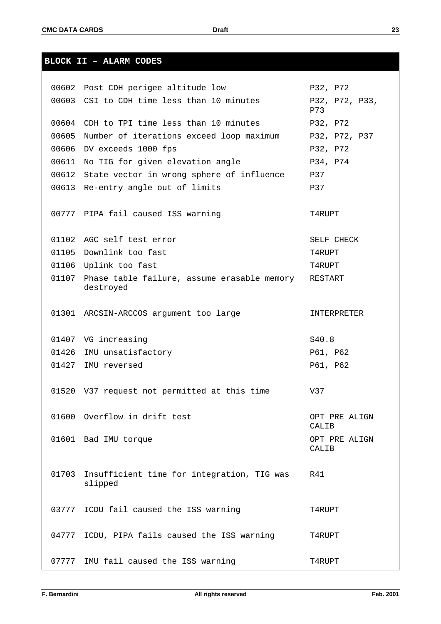| 00602 | Post CDH perigee altitude low                            | P32, P72               |
|-------|----------------------------------------------------------|------------------------|
| 00603 | CSI to CDH time less than 10 minutes                     | P32, P72, P33,<br>P73  |
| 00604 | CDH to TPI time less than 10 minutes                     | P32, P72               |
| 00605 | Number of iterations exceed loop maximum                 | P32, P72, P37          |
| 00606 | DV exceeds 1000 fps                                      | P32, P72               |
| 00611 | No TIG for given elevation angle                         | P34, P74               |
| 00612 | State vector in wrong sphere of influence                | P37                    |
| 00613 | Re-entry angle out of limits                             | P37                    |
|       |                                                          |                        |
|       | 00777 PIPA fail caused ISS warning                       | T4RUPT                 |
|       | 01102 AGC self test error                                | SELF CHECK             |
| 01105 | Downlink too fast                                        | T4RUPT                 |
| 01106 | Uplink too fast                                          | T4RUPT                 |
| 01107 | Phase table failure, assume erasable memory<br>destroyed | RESTART                |
|       |                                                          |                        |
| 01301 | ARCSIN-ARCCOS argument too large                         | INTERPRETER            |
|       |                                                          |                        |
| 01407 | VG increasing                                            | S40.8                  |
| 01426 | IMU unsatisfactory                                       | P61, P62               |
| 01427 | IMU reversed                                             | P61, P62               |
|       |                                                          |                        |
|       | 01520 V37 request not permitted at this time             | V37                    |
|       | 01600 Overflow in drift test                             |                        |
|       |                                                          | OPT PRE ALIGN<br>CALIB |
|       | 01601 Bad IMU torque                                     | OPT PRE ALIGN          |
|       |                                                          | CALIB                  |
|       |                                                          |                        |
| 01703 | Insufficient time for integration, TIG was<br>slipped    | R41                    |
|       |                                                          |                        |
| 03777 | ICDU fail caused the ISS warning                         | T4RUPT                 |
|       |                                                          |                        |
|       | 04777 ICDU, PIPA fails caused the ISS warning            | T4RUPT                 |
|       |                                                          |                        |
|       |                                                          |                        |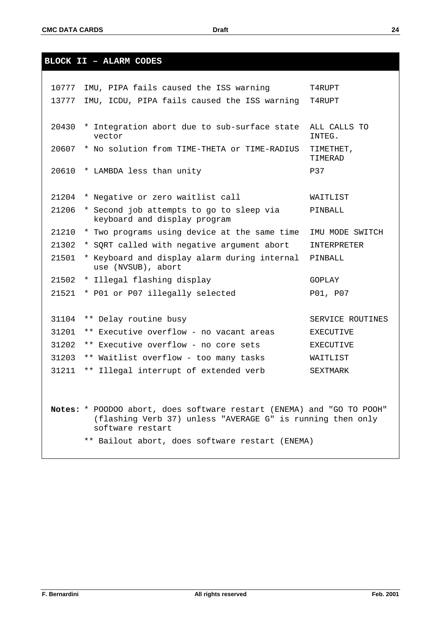**BLOCK II – ALARM CODES**

| 10777          | IMU, PIPA fails caused the ISS warning                                                                                                                                                                     | T4RUPT                 |
|----------------|------------------------------------------------------------------------------------------------------------------------------------------------------------------------------------------------------------|------------------------|
| 13777          | IMU, ICDU, PIPA fails caused the ISS warning                                                                                                                                                               | T4RUPT                 |
|                |                                                                                                                                                                                                            |                        |
| 20430          | * Integration abort due to sub-surface state<br>vector                                                                                                                                                     | ALL CALLS TO<br>INTEG. |
| 20607          | * No solution from TIME-THETA or TIME-RADIUS                                                                                                                                                               | TIMETHET,<br>TIMERAD   |
| 20610          | * LAMBDA less than unity                                                                                                                                                                                   | P37                    |
| 21204<br>21206 | * Negative or zero waitlist call<br>* Second job attempts to go to sleep via                                                                                                                               | WAITLIST<br>PINBALL    |
|                | keyboard and display program                                                                                                                                                                               |                        |
| 21210          | * Two programs using device at the same time                                                                                                                                                               | IMU MODE SWITCH        |
| 21302          | * SQRT called with negative argument abort                                                                                                                                                                 | INTERPRETER            |
| 21501          | * Keyboard and display alarm during internal<br>use (NVSUB), abort                                                                                                                                         | PINBALL                |
| 21502          | * Illegal flashing display                                                                                                                                                                                 | GOPLAY                 |
| 21521          | * P01 or P07 illegally selected                                                                                                                                                                            | P01, P07               |
|                |                                                                                                                                                                                                            |                        |
| 31104          | ** Delay routine busy                                                                                                                                                                                      | SERVICE ROUTINES       |
| 31201          | ** Executive overflow - no vacant areas                                                                                                                                                                    | <b>EXECUTIVE</b>       |
| 31202          | ** Executive overflow - no core sets                                                                                                                                                                       | <b>EXECUTIVE</b>       |
| 31203          | ** Waitlist overflow - too many tasks                                                                                                                                                                      | WAITLIST               |
| 31211          | ** Illegal interrupt of extended verb                                                                                                                                                                      | SEXTMARK               |
|                |                                                                                                                                                                                                            |                        |
|                | Notes: * POODOO abort, does software restart (ENEMA) and "GO TO POOH"<br>(flashing Verb 37) unless "AVERAGE G" is running then only<br>software restart<br>** Bailout abort, does software restart (ENEMA) |                        |
|                |                                                                                                                                                                                                            |                        |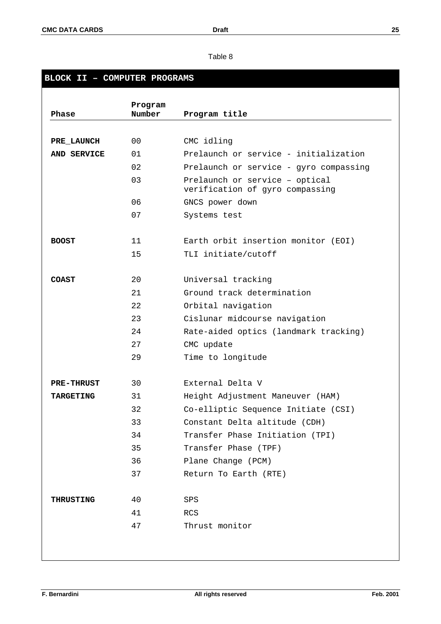# **BLOCK II – COMPUTER PROGRAMS**

| Phase             | Program<br>Number | Program title                                                     |
|-------------------|-------------------|-------------------------------------------------------------------|
|                   |                   |                                                                   |
| PRE LAUNCH        | 0 <sub>0</sub>    | CMC idling                                                        |
| AND SERVICE       | 01                | Prelaunch or service - initialization                             |
|                   | 02                | Prelaunch or service - gyro compassing                            |
|                   | 03                | Prelaunch or service - optical<br>verification of gyro compassing |
|                   | 06                | GNCS power down                                                   |
|                   | 07                | Systems test                                                      |
| <b>BOOST</b>      | 11                | Earth orbit insertion monitor (EOI)                               |
|                   | 15                | TLI initiate/cutoff                                               |
| <b>COAST</b>      | 20                | Universal tracking                                                |
|                   | 21                | Ground track determination                                        |
|                   | 22                | Orbital navigation                                                |
|                   | 23                | Cislunar midcourse navigation                                     |
|                   | 24                | Rate-aided optics (landmark tracking)                             |
|                   | 27                | CMC update                                                        |
|                   | 29                | Time to longitude                                                 |
| <b>PRE-THRUST</b> | 30                | External Delta V                                                  |
| <b>TARGETING</b>  | 31                | Height Adjustment Maneuver (HAM)                                  |
|                   | 32                | Co-elliptic Sequence Initiate (CSI)                               |
|                   | 33                | Constant Delta altitude (CDH)                                     |
|                   | 34                | Transfer Phase Initiation (TPI)                                   |
|                   | 35                | Transfer Phase (TPF)                                              |
|                   | 36                | Plane Change (PCM)                                                |
|                   | 37                | Return To Earth (RTE)                                             |
| <b>THRUSTING</b>  | 40                | SPS                                                               |
|                   | 41                | RCS                                                               |
|                   |                   | Thrust monitor                                                    |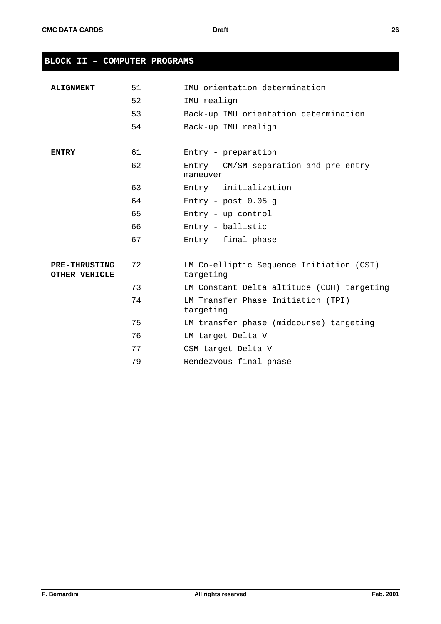| BLOCK II - COMPUTER PROGRAMS          |    |                                                       |
|---------------------------------------|----|-------------------------------------------------------|
|                                       |    |                                                       |
| <b>ALIGNMENT</b>                      | 51 | IMU orientation determination                         |
|                                       | 52 | IMU realign                                           |
|                                       | 53 | Back-up IMU orientation determination                 |
|                                       | 54 | Back-up IMU realign                                   |
| <b>ENTRY</b>                          | 61 | Entry - preparation                                   |
|                                       | 62 | Entry - CM/SM separation and pre-entry<br>maneuver    |
|                                       | 63 | Entry - initialization                                |
|                                       | 64 | Entry - post $0.05$ g                                 |
|                                       | 65 | Entry - up control                                    |
|                                       | 66 | Entry - ballistic                                     |
|                                       | 67 | Entry - final phase                                   |
| <b>PRE-THRUSTING</b><br>OTHER VEHICLE | 72 | LM Co-elliptic Sequence Initiation (CSI)<br>targeting |
|                                       | 73 | LM Constant Delta altitude (CDH) targeting            |
|                                       | 74 | LM Transfer Phase Initiation (TPI)<br>targeting       |
|                                       | 75 | LM transfer phase (midcourse) targeting               |
|                                       | 76 | LM target Delta V                                     |
|                                       | 77 | CSM target Delta V                                    |
|                                       | 79 | Rendezvous final phase                                |
|                                       |    |                                                       |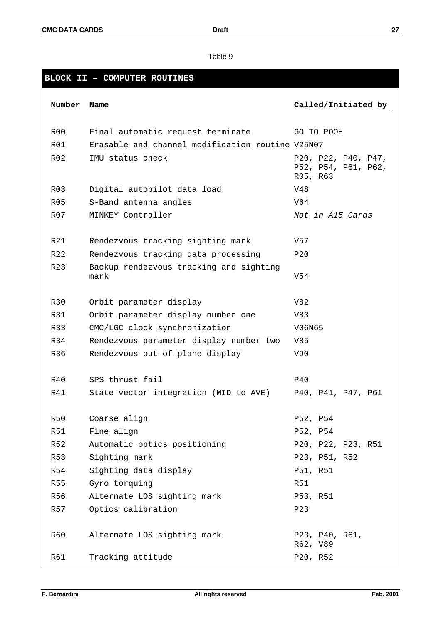# **BLOCK II – COMPUTER ROUTINES**

| Number           | Name                                             | Called/Initiated by                                    |
|------------------|--------------------------------------------------|--------------------------------------------------------|
|                  |                                                  |                                                        |
| R00              | Final automatic request terminate                | GO TO POOH                                             |
| R01              | Erasable and channel modification routine V25N07 |                                                        |
| R <sub>02</sub>  | IMU status check                                 | P20, P22, P40, P47,<br>P52, P54, P61, P62,<br>R05, R63 |
| R <sub>0</sub> 3 | Digital autopilot data load                      | V48                                                    |
| R05              | S-Band antenna angles                            | V64                                                    |
| R07              | MINKEY Controller                                | Not in A15 Cards                                       |
|                  |                                                  |                                                        |
| R21              | Rendezvous tracking sighting mark                | V57                                                    |
| R22              | Rendezvous tracking data processing              | P20                                                    |
| R23              | Backup rendezvous tracking and sighting<br>mark  | V54                                                    |
| R30              | Orbit parameter display                          | V82                                                    |
| <b>R31</b>       | Orbit parameter display number one               | V83                                                    |
| R33              | CMC/LGC clock synchronization                    | V06N65                                                 |
| R34              | Rendezvous parameter display number two          | V85                                                    |
| R36              | Rendezvous out-of-plane display                  | V90                                                    |
|                  |                                                  |                                                        |
| R40              | SPS thrust fail                                  | <b>P40</b>                                             |
| R41              | State vector integration (MID to AVE)            | P40, P41, P47, P61                                     |
|                  |                                                  |                                                        |
| R50              | Coarse align                                     | P52, P54                                               |
| <b>R51</b>       | Fine align                                       | P52, P54                                               |
| R52              | Automatic optics positioning                     | P20, P22, P23, R51                                     |
| R53              | Sighting mark                                    | P23, P51, R52                                          |
| R54              | Sighting data display                            | P51, R51                                               |
| R55              | Gyro torquing                                    | <b>R51</b>                                             |
| R56              | Alternate LOS sighting mark                      | P53, R51                                               |
| R57              | Optics calibration                               | P23                                                    |
|                  |                                                  |                                                        |
| R60              | Alternate LOS sighting mark                      | P23, P40, R61,<br>R62, V89                             |
| R61              | Tracking attitude                                | P20, R52                                               |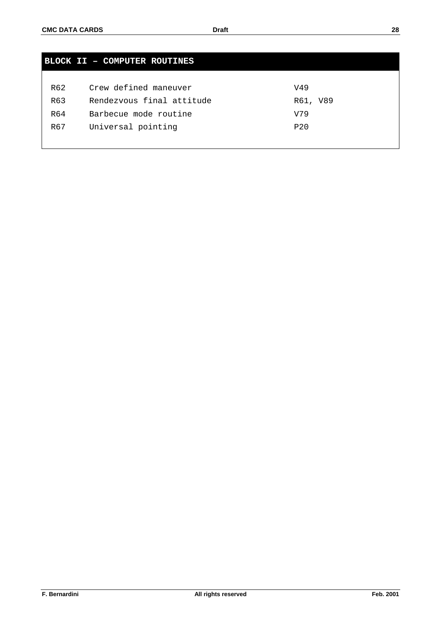| <b>BLOCK II - COMPUTER ROUTINES</b> |                           |                 |  |  |  |
|-------------------------------------|---------------------------|-----------------|--|--|--|
|                                     |                           |                 |  |  |  |
| R62                                 | Crew defined maneuver     | V49             |  |  |  |
| R63                                 | Rendezvous final attitude | R61, V89        |  |  |  |
| R64                                 | Barbecue mode routine     | V79             |  |  |  |
| R67                                 | Universal pointing        | P <sub>20</sub> |  |  |  |
|                                     |                           |                 |  |  |  |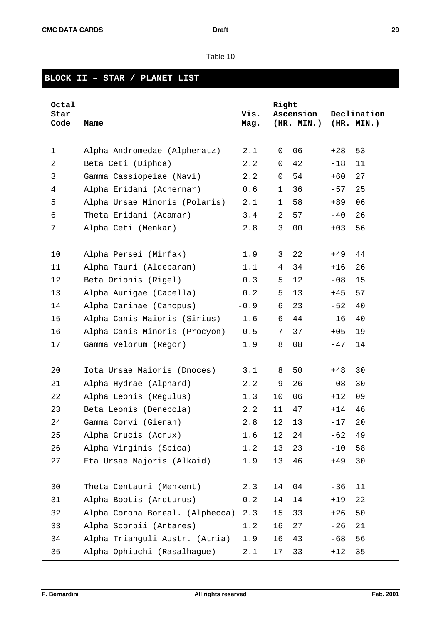| Table 10 |  |  |
|----------|--|--|
|          |  |  |

# **BLOCK II – STAR / PLANET LIST**

| Octal<br>Star<br>Code | Name                            | Vis.<br>Mag. | Right        | Ascension<br>(HR. MIN.) |       | Declination<br>(HR. MIN.) |
|-----------------------|---------------------------------|--------------|--------------|-------------------------|-------|---------------------------|
|                       |                                 |              |              |                         |       |                           |
| $\mathbf 1$           | Alpha Andromedae (Alpheratz)    | 2.1          | 0            | 06                      | $+28$ | 53                        |
| $\overline{2}$        | Beta Ceti (Diphda)              | 2.2          | 0            | 42                      | $-18$ | 11                        |
| $\mathbf{3}$          | Gamma Cassiopeiae (Navi)        | 2.2          | $\mathbf 0$  | 54                      | $+60$ | 27                        |
| $\overline{4}$        | Alpha Eridani (Achernar)        | 0.6          | $\mathbf{1}$ | 36                      | $-57$ | 25                        |
| 5                     | Alpha Ursae Minoris (Polaris)   | 2.1          | $\mathbf 1$  | 58                      | $+89$ | 06                        |
| 6                     | Theta Eridani (Acamar)          | 3.4          | 2            | 57                      | $-40$ | 26                        |
| 7                     | Alpha Ceti (Menkar)             | 2.8          | 3            | 0 <sub>0</sub>          | $+03$ | 56                        |
| 10                    | Alpha Persei (Mirfak)           | 1.9          | 3            | 22                      | +49   | 44                        |
| 11                    | Alpha Tauri (Aldebaran)         | 1.1          | 4            | 34                      | $+16$ | 26                        |
| 12                    | Beta Orionis (Rigel)            | 0.3          | 5            | 12                      | $-08$ | 15                        |
| 13                    | Alpha Aurigae (Capella)         | 0.2          | 5            | 13                      | $+45$ | 57                        |
| 14                    | Alpha Carinae (Canopus)         | $-0.9$       | 6            | 23                      | $-52$ | 40                        |
| 15                    | Alpha Canis Maioris (Sirius)    | $-1.6$       | 6            | 44                      | $-16$ | 40                        |
| 16                    | Alpha Canis Minoris (Procyon)   | 0.5          | 7            | 37                      | $+05$ | 19                        |
| 17                    | Gamma Velorum (Regor)           | 1.9          | 8            | 08                      | $-47$ | 14                        |
| 20                    | Iota Ursae Maioris (Dnoces)     | 3.1          | 8            | 50                      | +48   | 30                        |
| 21                    | Alpha Hydrae (Alphard)          | 2.2          | 9            | 26                      | $-08$ | 30                        |
| 22                    | Alpha Leonis (Regulus)          | 1.3          | 10           | 06                      | $+12$ | 09                        |
| 23                    | Beta Leonis (Denebola)          | 2.2          | 11           | 47                      | $+14$ | 46                        |
| 24                    | Gamma Corvi (Gienah)            | 2.8          | 12           | 13                      | $-17$ | 20                        |
| 25                    | Alpha Crucis (Acrux)            | 1.6          | 12           | 24                      | $-62$ | 49                        |
| 26                    | Alpha Virginis (Spica)          | 1.2          | 13           | 23                      | $-10$ | 58                        |
| 27                    | Eta Ursae Majoris (Alkaid)      | 1.9          | 13           | 46                      | $+49$ | 30                        |
| 30                    | Theta Centauri (Menkent)        | 2.3          | 14           | 04                      | $-36$ | 11                        |
| 31                    | Alpha Bootis (Arcturus)         | 0.2          | 14           | 14                      | $+19$ | 22                        |
| 32                    | Alpha Corona Boreal. (Alphecca) | 2.3          | 15           | 33                      | $+26$ | 50                        |
| 33                    | Alpha Scorpii (Antares)         | 1.2          | 16           | 27                      | $-26$ | 21                        |
| 34                    | Alpha Trianguli Austr. (Atria)  | 1.9          | 16           | 43                      | $-68$ | 56                        |
| 35                    | Alpha Ophiuchi (Rasalhague)     | 2.1          | 17           | 33                      | $+12$ | 35                        |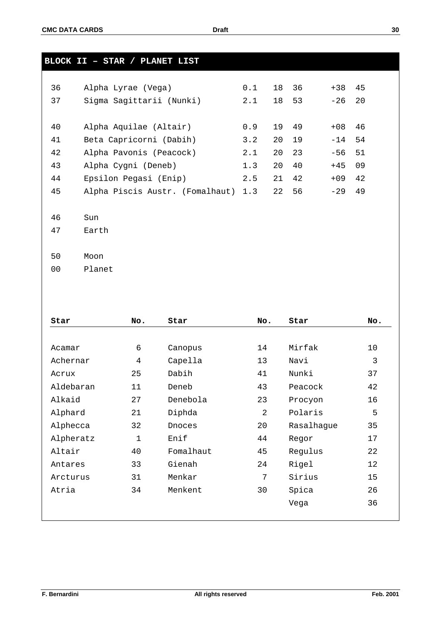|    | BLOCK II - STAR / PLANET LIST       |     |    |    |       |    |
|----|-------------------------------------|-----|----|----|-------|----|
|    |                                     |     |    |    |       |    |
| 36 | Alpha Lyrae (Vega)                  | 0.1 | 18 | 36 | $+38$ | 45 |
| 37 | Sigma Sagittarii (Nunki)            | 2.1 | 18 | 53 | $-26$ | 20 |
|    |                                     |     |    |    |       |    |
| 40 | Alpha Aquilae (Altair)              | 0.9 | 19 | 49 | $+08$ | 46 |
| 41 | Beta Capricorni (Dabih)             | 3.2 | 20 | 19 | $-14$ | 54 |
| 42 | Alpha Pavonis (Peacock)             | 2.1 | 20 | 23 | $-56$ | 51 |
| 43 | Alpha Cygni (Deneb)                 | 1.3 | 20 | 40 | $+45$ | 09 |
| 44 | Epsilon Pegasi (Enip)               | 2.5 | 21 | 42 | $+09$ | 42 |
| 45 | Alpha Piscis Austr. (Fomalhaut) 1.3 |     | 22 | 56 | $-29$ | 49 |
|    |                                     |     |    |    |       |    |
| 46 | Sun                                 |     |    |    |       |    |
| 47 | Earth                               |     |    |    |       |    |
|    |                                     |     |    |    |       |    |
| 50 | Moon                                |     |    |    |       |    |
| 00 | Planet                              |     |    |    |       |    |

| Star      | No. | Star      | No. | Star       | No. |
|-----------|-----|-----------|-----|------------|-----|
|           |     |           |     |            |     |
| Acamar    | 6   | Canopus   | 14  | Mirfak     | 10  |
| Achernar  | 4   | Capella   | 13  | Navi       | 3   |
| Acrux     | 25  | Dabih     | 41  | Nunki      | 37  |
| Aldebaran | 11  | Deneb     | 43  | Peacock    | 42  |
| Alkaid    | 27  | Denebola  | 23  | Procyon    | 16  |
| Alphard   | 21  | Diphda    | 2   | Polaris    | 5   |
| Alphecca  | 32  | Dnoces    | 20  | Rasalhague | 35  |
| Alpheratz | 1   | Enif      | 44  | Regor      | 17  |
| Altair    | 40  | Fomalhaut | 45  | Regulus    | 22  |
| Antares   | 33  | Gienah    | 24  | Rigel      | 12  |
| Arcturus  | 31  | Menkar    | 7   | Sirius     | 15  |
| Atria     | 34  | Menkent   | 30  | Spica      | 26  |
|           |     |           |     | Vega       | 36  |
|           |     |           |     |            |     |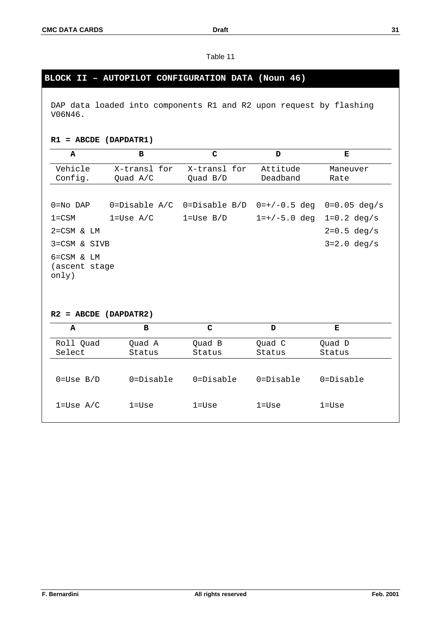# **BLOCK II – AUTOPILOT CONFIGURATION DATA (Noun 46)**

DAP data loaded into components R1 and R2 upon request by flashing V06N46.

## **R1 = ABCDE (DAPDATR1)**

| $\mathbf{A}$                     | $\mathbf B$                | $\mathbf C$              | D                    | Е                       |
|----------------------------------|----------------------------|--------------------------|----------------------|-------------------------|
| Vehicle<br>Config.               | X-transl for<br>Quad $A/C$ | X-transl for<br>Quad B/D | Attitude<br>Deadband | Maneuver<br>Rate        |
|                                  |                            |                          |                      |                         |
| $0 = No$ DAP                     | $0 = Distance A/C$         | 0=Disable B/D            | $0=+/0.5$ deg        | $0=0.05 deg/s$          |
| $1 = CSM$                        | $1 = Use A/C$              | $1 = Use B/D$            | $1 = +/-5.0$ deg     | $1 = 0.2 \text{ deg/s}$ |
| $2 = CSM$ & $LM$                 |                            |                          |                      | $2=0.5 deg/s$           |
| 3=CSM & SIVB                     |                            |                          |                      | $3 = 2.0 \text{ deg/s}$ |
| $6 = CSM \& LM$<br>(ascent stage |                            |                          |                      |                         |
| only)<br>$R2 = ABCDE (DAPDATR2)$ |                            |                          |                      |                         |
| A                                | $\mathbf{B}$               | $\mathbf C$              | D                    | Е                       |
| Roll Quad<br>Select              | Quad A<br>Status           | Quad B<br>Status         | Quad C<br>Status     | Quad D<br>Status        |
| $0 = Use B/D$                    | $0 = Distance$             | $0 = \text{Disable}$     | $0 = \text{Disable}$ | $0 = Distance$          |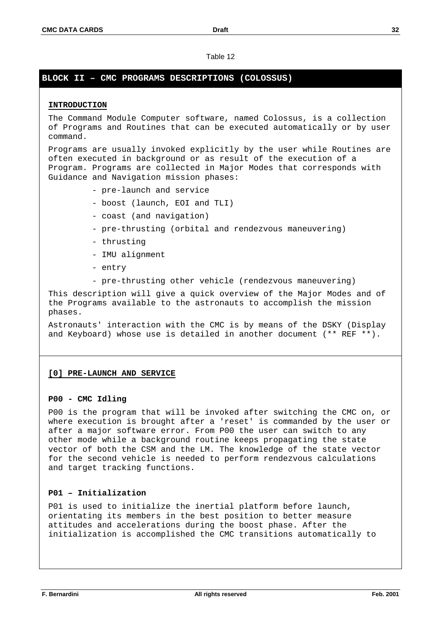# **BLOCK II – CMC PROGRAMS DESCRIPTIONS (COLOSSUS)**

# **INTRODUCTION**

The Command Module Computer software, named Colossus, is a collection of Programs and Routines that can be executed automatically or by user command.

Programs are usually invoked explicitly by the user while Routines are often executed in background or as result of the execution of a Program. Programs are collected in Major Modes that corresponds with Guidance and Navigation mission phases:

- pre-launch and service
- boost (launch, EOI and TLI)
- coast (and navigation)
- pre-thrusting (orbital and rendezvous maneuvering)
- thrusting
- IMU alignment
- entry
- pre-thrusting other vehicle (rendezvous maneuvering)

This description will give a quick overview of the Major Modes and of the Programs available to the astronauts to accomplish the mission phases.

Astronauts' interaction with the CMC is by means of the DSKY (Display and Keyboard) whose use is detailed in another document (\*\* REF \*\*).

# **[0] PRE-LAUNCH AND SERVICE**

# **P00 - CMC Idling**

P00 is the program that will be invoked after switching the CMC on, or where execution is brought after a 'reset' is commanded by the user or after a major software error. From P00 the user can switch to any other mode while a background routine keeps propagating the state vector of both the CSM and the LM. The knowledge of the state vector for the second vehicle is needed to perform rendezvous calculations and target tracking functions.

# **P01 – Initialization**

P01 is used to initialize the inertial platform before launch, orientating its members in the best position to better measure attitudes and accelerations during the boost phase. After the initialization is accomplished the CMC transitions automatically to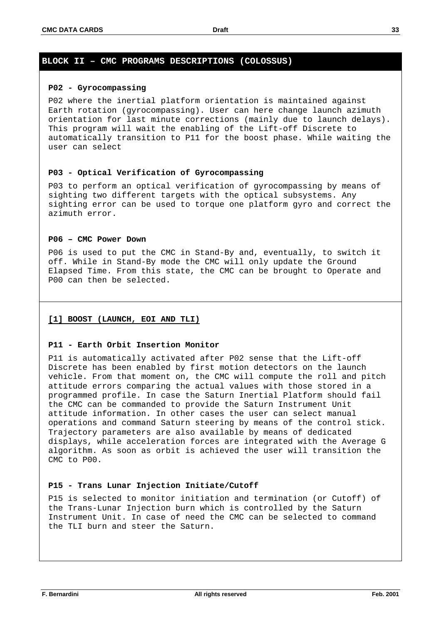#### **P02 - Gyrocompassing**

P02 where the inertial platform orientation is maintained against Earth rotation (gyrocompassing). User can here change launch azimuth orientation for last minute corrections (mainly due to launch delays). This program will wait the enabling of the Lift-off Discrete to automatically transition to P11 for the boost phase. While waiting the user can select

#### **P03 - Optical Verification of Gyrocompassing**

P03 to perform an optical verification of gyrocompassing by means of sighting two different targets with the optical subsystems. Any sighting error can be used to torque one platform gyro and correct the azimuth error.

### **P06 – CMC Power Down**

P06 is used to put the CMC in Stand-By and, eventually, to switch it off. While in Stand-By mode the CMC will only update the Ground Elapsed Time. From this state, the CMC can be brought to Operate and P00 can then be selected.

#### **[1] BOOST (LAUNCH, EOI AND TLI)**

#### **P11 - Earth Orbit Insertion Monitor**

P11 is automatically activated after P02 sense that the Lift-off Discrete has been enabled by first motion detectors on the launch vehicle. From that moment on, the CMC will compute the roll and pitch attitude errors comparing the actual values with those stored in a programmed profile. In case the Saturn Inertial Platform should fail the CMC can be commanded to provide the Saturn Instrument Unit attitude information. In other cases the user can select manual operations and command Saturn steering by means of the control stick. Trajectory parameters are also available by means of dedicated displays, while acceleration forces are integrated with the Average G algorithm. As soon as orbit is achieved the user will transition the CMC to P00.

# **P15 - Trans Lunar Injection Initiate/Cutoff**

P15 is selected to monitor initiation and termination (or Cutoff) of the Trans-Lunar Injection burn which is controlled by the Saturn Instrument Unit. In case of need the CMC can be selected to command the TLI burn and steer the Saturn.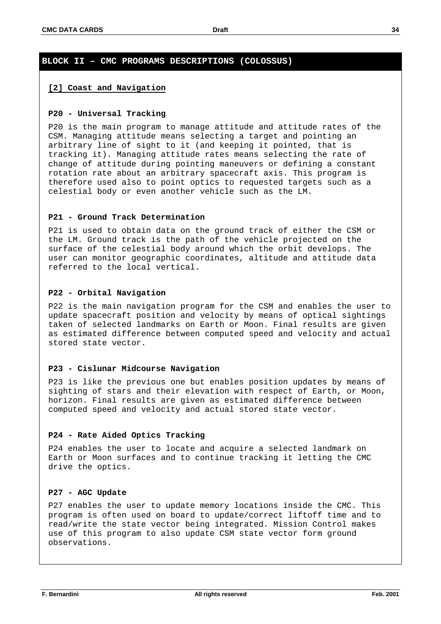#### **[2] Coast and Navigation**

#### **P20 - Universal Tracking**

P20 is the main program to manage attitude and attitude rates of the CSM. Managing attitude means selecting a target and pointing an arbitrary line of sight to it (and keeping it pointed, that is tracking it). Managing attitude rates means selecting the rate of change of attitude during pointing maneuvers or defining a constant rotation rate about an arbitrary spacecraft axis. This program is therefore used also to point optics to requested targets such as a celestial body or even another vehicle such as the LM.

#### **P21 - Ground Track Determination**

P21 is used to obtain data on the ground track of either the CSM or the LM. Ground track is the path of the vehicle projected on the surface of the celestial body around which the orbit develops. The user can monitor geographic coordinates, altitude and attitude data referred to the local vertical.

#### **P22 - Orbital Navigation**

P22 is the main navigation program for the CSM and enables the user to update spacecraft position and velocity by means of optical sightings taken of selected landmarks on Earth or Moon. Final results are given as estimated difference between computed speed and velocity and actual stored state vector.

### **P23 - Cislunar Midcourse Navigation**

P23 is like the previous one but enables position updates by means of sighting of stars and their elevation with respect of Earth, or Moon, horizon. Final results are given as estimated difference between computed speed and velocity and actual stored state vector.

#### **P24 - Rate Aided Optics Tracking**

P24 enables the user to locate and acquire a selected landmark on Earth or Moon surfaces and to continue tracking it letting the CMC drive the optics.

#### **P27 - AGC Update**

P27 enables the user to update memory locations inside the CMC. This program is often used on board to update/correct liftoff time and to read/write the state vector being integrated. Mission Control makes use of this program to also update CSM state vector form ground observations.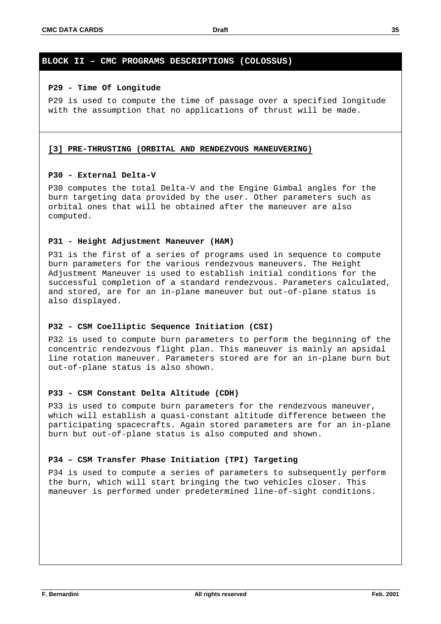#### **P29 - Time Of Longitude**

P29 is used to compute the time of passage over a specified longitude with the assumption that no applications of thrust will be made.

#### **[3] PRE-THRUSTING (ORBITAL AND RENDEZVOUS MANEUVERING)**

#### **P30 - External Delta-V**

P30 computes the total Delta-V and the Engine Gimbal angles for the burn targeting data provided by the user. Other parameters such as orbital ones that will be obtained after the maneuver are also computed.

#### **P31 - Height Adjustment Maneuver (HAM)**

P31 is the first of a series of programs used in sequence to compute burn parameters for the various rendezvous maneuvers. The Height Adjustment Maneuver is used to establish initial conditions for the successful completion of a standard rendezvous. Parameters calculated, and stored, are for an in-plane maneuver but out-of-plane status is also displayed.

#### **P32 - CSM Coelliptic Sequence Initiation (CSI)**

P32 is used to compute burn parameters to perform the beginning of the concentric rendezvous flight plan. This maneuver is mainly an apsidal line rotation maneuver. Parameters stored are for an in-plane burn but out-of-plane status is also shown.

### **P33 - CSM Constant Delta Altitude (CDH)**

P33 is used to compute burn parameters for the rendezvous maneuver, which will establish a quasi-constant altitude difference between the participating spacecrafts. Again stored parameters are for an in-plane burn but out-of-plane status is also computed and shown.

#### **P34 – CSM Transfer Phase Initiation (TPI) Targeting**

P34 is used to compute a series of parameters to subsequently perform the burn, which will start bringing the two vehicles closer. This maneuver is performed under predetermined line-of-sight conditions.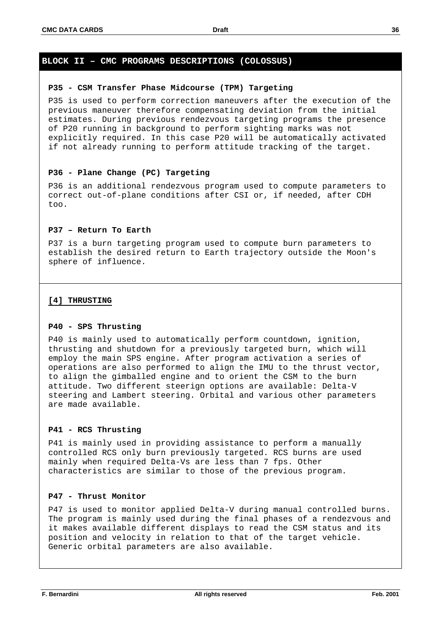#### **P35 - CSM Transfer Phase Midcourse (TPM) Targeting**

P35 is used to perform correction maneuvers after the execution of the previous maneuver therefore compensating deviation from the initial estimates. During previous rendezvous targeting programs the presence of P20 running in background to perform sighting marks was not explicitly required. In this case P20 will be automatically activated if not already running to perform attitude tracking of the target.

#### **P36 - Plane Change (PC) Targeting**

P36 is an additional rendezvous program used to compute parameters to correct out-of-plane conditions after CSI or, if needed, after CDH too.

#### **P37 – Return To Earth**

P37 is a burn targeting program used to compute burn parameters to establish the desired return to Earth trajectory outside the Moon's sphere of influence.

#### **[4] THRUSTING**

#### **P40 - SPS Thrusting**

P40 is mainly used to automatically perform countdown, ignition, thrusting and shutdown for a previously targeted burn, which will employ the main SPS engine. After program activation a series of operations are also performed to align the IMU to the thrust vector, to align the gimballed engine and to orient the CSM to the burn attitude. Two different steerign options are available: Delta-V steering and Lambert steering. Orbital and various other parameters are made available.

#### **P41 - RCS Thrusting**

P41 is mainly used in providing assistance to perform a manually controlled RCS only burn previously targeted. RCS burns are used mainly when required Delta-Vs are less than 7 fps. Other characteristics are similar to those of the previous program.

#### **P47 - Thrust Monitor**

P47 is used to monitor applied Delta-V during manual controlled burns. The program is mainly used during the final phases of a rendezvous and it makes available different displays to read the CSM status and its position and velocity in relation to that of the target vehicle. Generic orbital parameters are also available.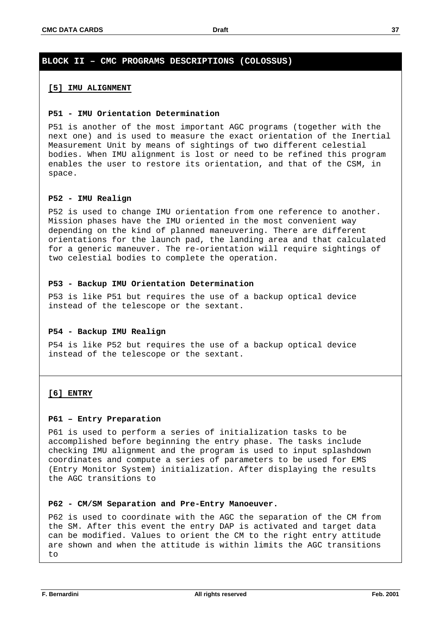#### **[5] IMU ALIGNMENT**

#### **P51 - IMU Orientation Determination**

P51 is another of the most important AGC programs (together with the next one) and is used to measure the exact orientation of the Inertial Measurement Unit by means of sightings of two different celestial bodies. When IMU alignment is lost or need to be refined this program enables the user to restore its orientation, and that of the CSM, in space.

#### **P52 - IMU Realign**

P52 is used to change IMU orientation from one reference to another. Mission phases have the IMU oriented in the most convenient way depending on the kind of planned maneuvering. There are different orientations for the launch pad, the landing area and that calculated for a generic maneuver. The re-orientation will require sightings of two celestial bodies to complete the operation.

#### **P53 - Backup IMU Orientation Determination**

P53 is like P51 but requires the use of a backup optical device instead of the telescope or the sextant.

#### **P54 - Backup IMU Realign**

P54 is like P52 but requires the use of a backup optical device instead of the telescope or the sextant.

#### **[6] ENTRY**

#### **P61 – Entry Preparation**

P61 is used to perform a series of initialization tasks to be accomplished before beginning the entry phase. The tasks include checking IMU alignment and the program is used to input splashdown coordinates and compute a series of parameters to be used for EMS (Entry Monitor System) initialization. After displaying the results the AGC transitions to

#### **P62 - CM/SM Separation and Pre-Entry Manoeuver.**

P62 is used to coordinate with the AGC the separation of the CM from the SM. After this event the entry DAP is activated and target data can be modified. Values to orient the CM to the right entry attitude are shown and when the attitude is within limits the AGC transitions to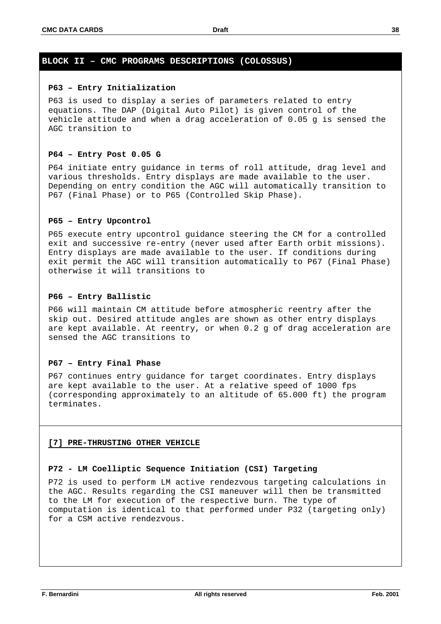#### **P63 – Entry Initialization**

P63 is used to display a series of parameters related to entry equations. The DAP (Digital Auto Pilot) is given control of the vehicle attitude and when a drag acceleration of 0.05 g is sensed the AGC transition to

## **P64 – Entry Post 0.05 G**

P64 initiate entry guidance in terms of roll attitude, drag level and various thresholds. Entry displays are made available to the user. Depending on entry condition the AGC will automatically transition to P67 (Final Phase) or to P65 (Controlled Skip Phase).

## **P65 – Entry Upcontrol**

P65 execute entry upcontrol guidance steering the CM for a controlled exit and successive re-entry (never used after Earth orbit missions). Entry displays are made available to the user. If conditions during exit permit the AGC will transition automatically to P67 (Final Phase) otherwise it will transitions to

#### **P66 – Entry Ballistic**

P66 will maintain CM attitude before atmospheric reentry after the skip out. Desired attitude angles are shown as other entry displays are kept available. At reentry, or when 0.2 g of drag acceleration are sensed the AGC transitions to

#### **P67 – Entry Final Phase**

P67 continues entry guidance for target coordinates. Entry displays are kept available to the user. At a relative speed of 1000 fps (corresponding approximately to an altitude of 65.000 ft) the program terminates.

#### **[7] PRE-THRUSTING OTHER VEHICLE**

# **P72 - LM Coelliptic Sequence Initiation (CSI) Targeting**

P72 is used to perform LM active rendezvous targeting calculations in the AGC. Results regarding the CSI maneuver will then be transmitted to the LM for execution of the respective burn. The type of computation is identical to that performed under P32 (targeting only) for a CSM active rendezvous.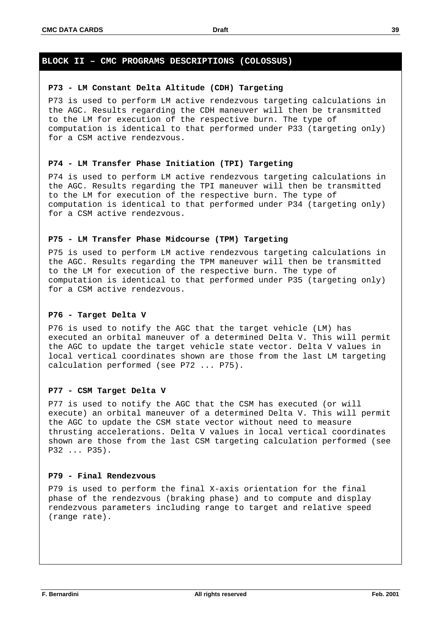#### **P73 - LM Constant Delta Altitude (CDH) Targeting**

P73 is used to perform LM active rendezvous targeting calculations in the AGC. Results regarding the CDH maneuver will then be transmitted to the LM for execution of the respective burn. The type of computation is identical to that performed under P33 (targeting only) for a CSM active rendezvous.

#### **P74 - LM Transfer Phase Initiation (TPI) Targeting**

P74 is used to perform LM active rendezvous targeting calculations in the AGC. Results regarding the TPI maneuver will then be transmitted to the LM for execution of the respective burn. The type of computation is identical to that performed under P34 (targeting only) for a CSM active rendezvous.

## **P75 - LM Transfer Phase Midcourse (TPM) Targeting**

P75 is used to perform LM active rendezvous targeting calculations in the AGC. Results regarding the TPM maneuver will then be transmitted to the LM for execution of the respective burn. The type of computation is identical to that performed under P35 (targeting only) for a CSM active rendezvous.

#### **P76 - Target Delta V**

P76 is used to notify the AGC that the target vehicle (LM) has executed an orbital maneuver of a determined Delta V. This will permit the AGC to update the target vehicle state vector. Delta V values in local vertical coordinates shown are those from the last LM targeting calculation performed (see P72 ... P75).

#### **P77 - CSM Target Delta V**

P77 is used to notify the AGC that the CSM has executed (or will execute) an orbital maneuver of a determined Delta V. This will permit the AGC to update the CSM state vector without need to measure thrusting accelerations. Delta V values in local vertical coordinates shown are those from the last CSM targeting calculation performed (see P32 ... P35).

#### **P79 - Final Rendezvous**

P79 is used to perform the final X-axis orientation for the final phase of the rendezvous (braking phase) and to compute and display rendezvous parameters including range to target and relative speed (range rate).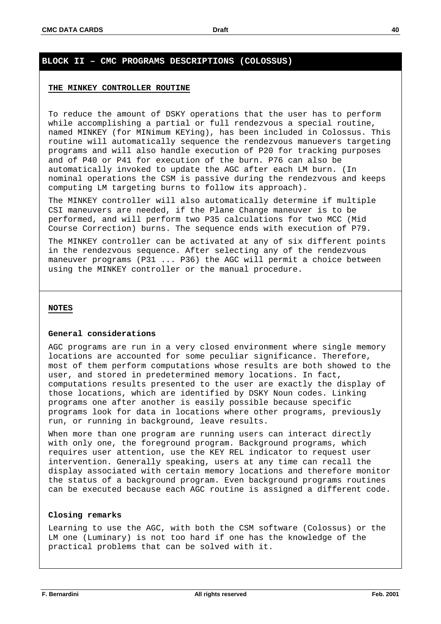#### **THE MINKEY CONTROLLER ROUTINE**

To reduce the amount of DSKY operations that the user has to perform while accomplishing a partial or full rendezvous a special routine, named MINKEY (for MINimum KEYing), has been included in Colossus. This routine will automatically sequence the rendezvous manuevers targeting programs and will also handle execution of P20 for tracking purposes and of P40 or P41 for execution of the burn. P76 can also be automatically invoked to update the AGC after each LM burn. (In nominal operations the CSM is passive during the rendezvous and keeps computing LM targeting burns to follow its approach).

The MINKEY controller will also automatically determine if multiple CSI maneuvers are needed, if the Plane Change maneuver is to be performed, and will perform two P35 calculations for two MCC (Mid Course Correction) burns. The sequence ends with execution of P79.

The MINKEY controller can be activated at any of six different points in the rendezvous sequence. After selecting any of the rendezvous maneuver programs (P31 ... P36) the AGC will permit a choice between using the MINKEY controller or the manual procedure.

#### **NOTES**

#### **General considerations**

AGC programs are run in a very closed environment where single memory locations are accounted for some peculiar significance. Therefore, most of them perform computations whose results are both showed to the user, and stored in predetermined memory locations. In fact, computations results presented to the user are exactly the display of those locations, which are identified by DSKY Noun codes. Linking programs one after another is easily possible because specific programs look for data in locations where other programs, previously run, or running in background, leave results.

When more than one program are running users can interact directly with only one, the foreground program. Background programs, which requires user attention, use the KEY REL indicator to request user intervention. Generally speaking, users at any time can recall the display associated with certain memory locations and therefore monitor the status of a background program. Even background programs routines can be executed because each AGC routine is assigned a different code.

#### **Closing remarks**

Learning to use the AGC, with both the CSM software (Colossus) or the LM one (Luminary) is not too hard if one has the knowledge of the practical problems that can be solved with it.